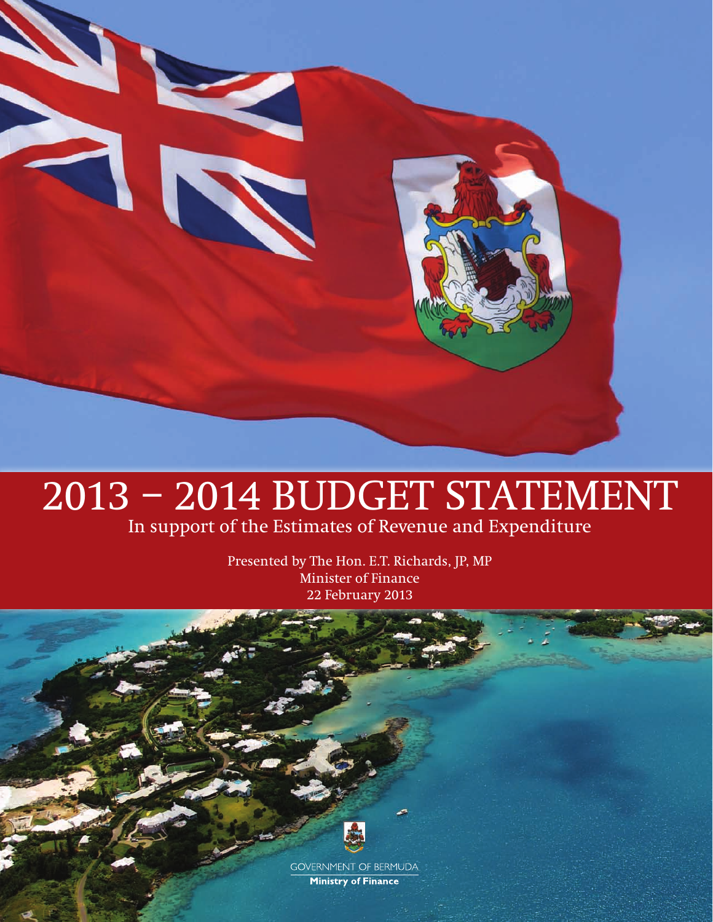

# 2013 – 2014 BUDGET STATEMENT

In support of the Estimates of Revenue and Expenditure

Presented by The Hon. E.T. Richards, JP, MP Minister of Finance 22 February 2013



**GOVERNMENT OF BERMUDA Ministry of Finance**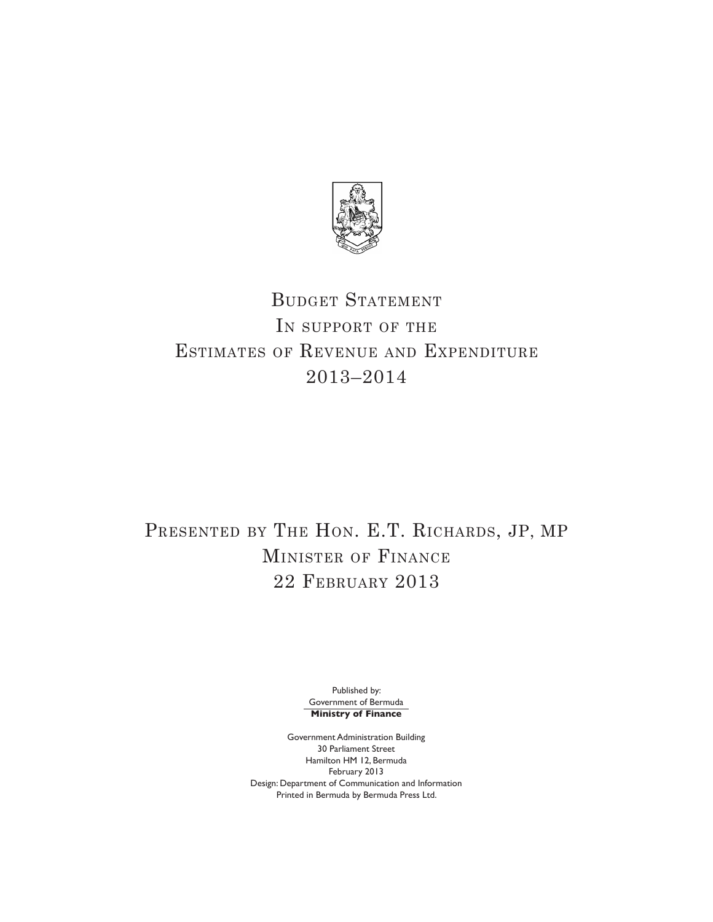

# BUDGET STATEMENT In support of the Estimates of Revenue and Expenditure 2013–2014

# PRESENTED BY THE HON. E.T. RICHARDS, JP, MP Minister of Finance 22 February 2013

Published by: Government of Bermuda **Ministry of Finance**

Government Administration Building 30 Parliament Street Hamilton HM 12, Bermuda February 2013 Design: Department of Communication and Information Printed in Bermuda by Bermuda Press Ltd.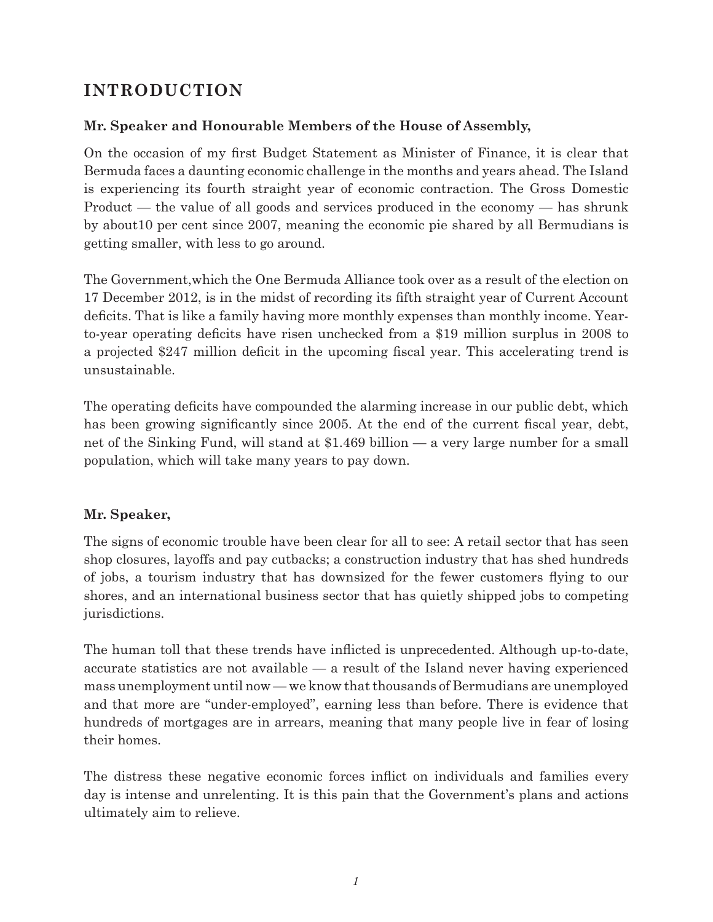## **INTRODUCTION**

#### **Mr. Speaker and Honourable Members of the House of Assembly,**

On the occasion of my first Budget Statement as Minister of Finance, it is clear that Bermuda faces a daunting economic challenge in the months and years ahead. The Island is experiencing its fourth straight year of economic contraction. The Gross Domestic Product — the value of all goods and services produced in the economy — has shrunk by about10 per cent since 2007, meaning the economic pie shared by all Bermudians is getting smaller, with less to go around.

The Government,which the One Bermuda Alliance took over as a result of the election on 17 December 2012, is in the midst of recording its fifth straight year of Current Account deficits. That is like a family having more monthly expenses than monthly income. Yearto-year operating deficits have risen unchecked from a \$19 million surplus in 2008 to a projected \$247 million deficit in the upcoming fiscal year. This accelerating trend is unsustainable.

The operating deficits have compounded the alarming increase in our public debt, which has been growing significantly since 2005. At the end of the current fiscal year, debt, net of the Sinking Fund, will stand at \$1.469 billion — a very large number for a small population, which will take many years to pay down.

#### **Mr. Speaker,**

The signs of economic trouble have been clear for all to see: A retail sector that has seen shop closures, layoffs and pay cutbacks; a construction industry that has shed hundreds of jobs, a tourism industry that has downsized for the fewer customers flying to our shores, and an international business sector that has quietly shipped jobs to competing jurisdictions.

The human toll that these trends have inflicted is unprecedented. Although up-to-date, accurate statistics are not available — a result of the Island never having experienced mass unemployment until now — we know that thousands of Bermudians are unemployed and that more are "under-employed", earning less than before. There is evidence that hundreds of mortgages are in arrears, meaning that many people live in fear of losing their homes.

The distress these negative economic forces inflict on individuals and families every day is intense and unrelenting. It is this pain that the Government's plans and actions ultimately aim to relieve.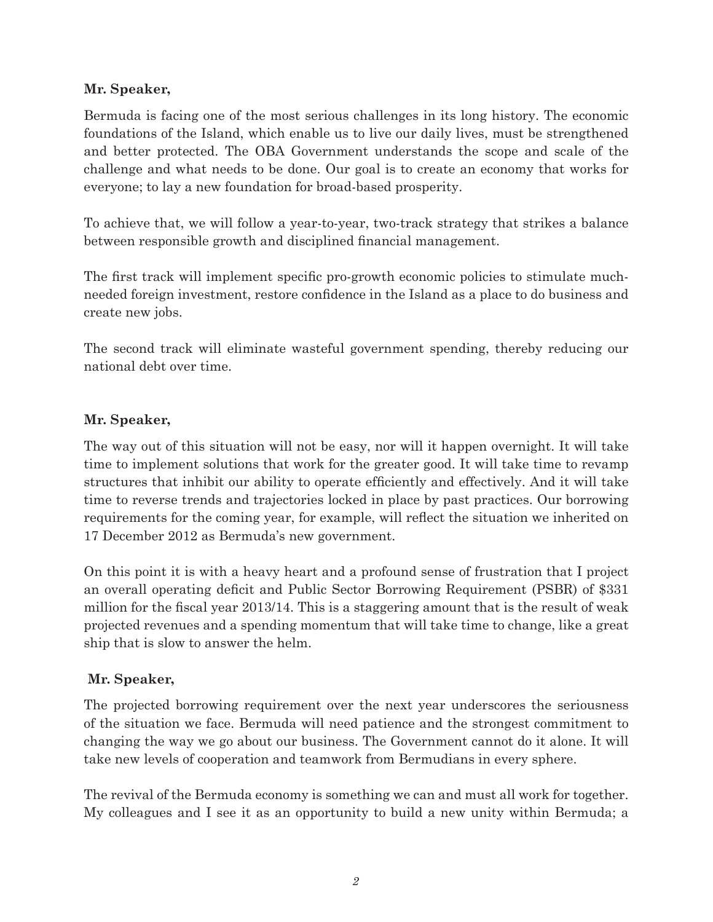#### **Mr. Speaker,**

Bermuda is facing one of the most serious challenges in its long history. The economic foundations of the Island, which enable us to live our daily lives, must be strengthened and better protected. The OBA Government understands the scope and scale of the challenge and what needs to be done. Our goal is to create an economy that works for everyone; to lay a new foundation for broad-based prosperity.

To achieve that, we will follow a year-to-year, two-track strategy that strikes a balance between responsible growth and disciplined financial management.

The first track will implement specific pro-growth economic policies to stimulate muchneeded foreign investment, restore confidence in the Island as a place to do business and create new jobs.

The second track will eliminate wasteful government spending, thereby reducing our national debt over time.

#### **Mr. Speaker,**

The way out of this situation will not be easy, nor will it happen overnight. It will take time to implement solutions that work for the greater good. It will take time to revamp structures that inhibit our ability to operate efficiently and effectively. And it will take time to reverse trends and trajectories locked in place by past practices. Our borrowing requirements for the coming year, for example, will reflect the situation we inherited on 17 December 2012 as Bermuda's new government.

On this point it is with a heavy heart and a profound sense of frustration that I project an overall operating deficit and Public Sector Borrowing Requirement (PSBR) of \$331 million for the fiscal year 2013/14. This is a staggering amount that is the result of weak projected revenues and a spending momentum that will take time to change, like a great ship that is slow to answer the helm.

#### **Mr. Speaker,**

The projected borrowing requirement over the next year underscores the seriousness of the situation we face. Bermuda will need patience and the strongest commitment to changing the way we go about our business. The Government cannot do it alone. It will take new levels of cooperation and teamwork from Bermudians in every sphere.

The revival of the Bermuda economy is something we can and must all work for together. My colleagues and I see it as an opportunity to build a new unity within Bermuda; a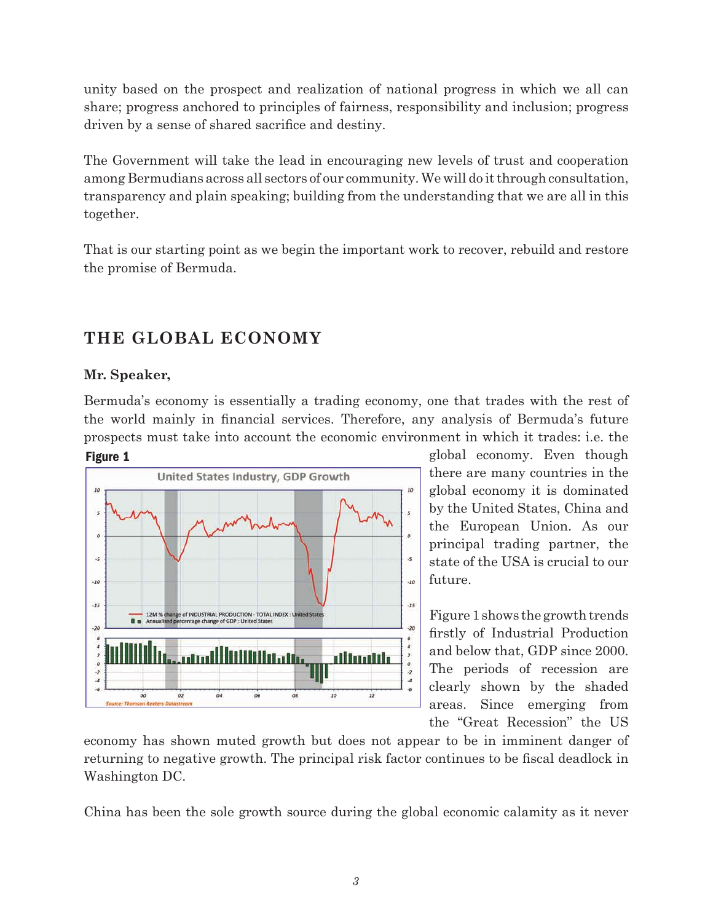unity based on the prospect and realization of national progress in which we all can share; progress anchored to principles of fairness, responsibility and inclusion; progress driven by a sense of shared sacrifice and destiny.

The Government will take the lead in encouraging new levels of trust and cooperation among Bermudians across all sectors of our community. We will do it through consultation, transparency and plain speaking; building from the understanding that we are all in this together.

That is our starting point as we begin the important work to recover, rebuild and restore the promise of Bermuda.

## **THE GLOBAL ECONOMY**

#### **Mr. Speaker,**

Bermuda's economy is essentially a trading economy, one that trades with the rest of the world mainly in financial services. Therefore, any analysis of Bermuda's future prospects must take into account the economic environment in which it trades: i.e. the



global economy. Even though there are many countries in the global economy it is dominated by the United States, China and the European Union. As our principal trading partner, the state of the USA is crucial to our future.

Figure 1 shows the growth trends firstly of Industrial Production and below that, GDP since 2000. The periods of recession are clearly shown by the shaded areas. Since emerging from the "Great Recession" the US

economy has shown muted growth but does not appear to be in imminent danger of returning to negative growth. The principal risk factor continues to be fiscal deadlock in Washington DC.

China has been the sole growth source during the global economic calamity as it never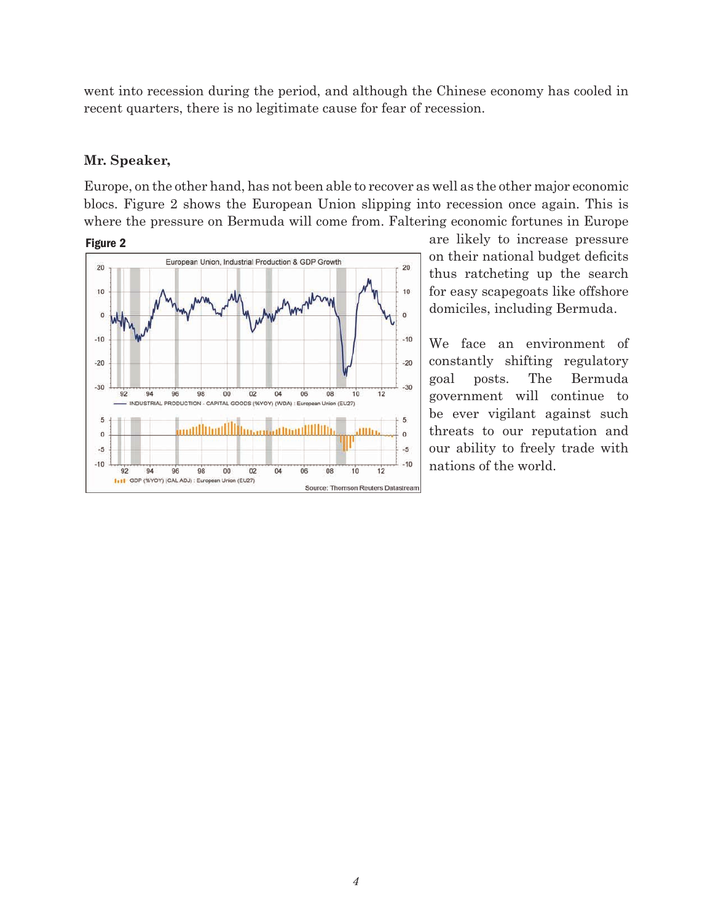went into recession during the period, and although the Chinese economy has cooled in recent quarters, there is no legitimate cause for fear of recession.

#### **Mr. Speaker,**

Europe, on the other hand, has not been able to recover as well as the other major economic blocs. Figure 2 shows the European Union slipping into recession once again. This is where the pressure on Bermuda will come from. Faltering economic fortunes in Europe



are likely to increase pressure on their national budget deficits thus ratcheting up the search for easy scapegoats like offshore domiciles, including Bermuda.

We face an environment of constantly shifting regulatory goal posts. The Bermuda government will continue to be ever vigilant against such threats to our reputation and our ability to freely trade with nations of the world.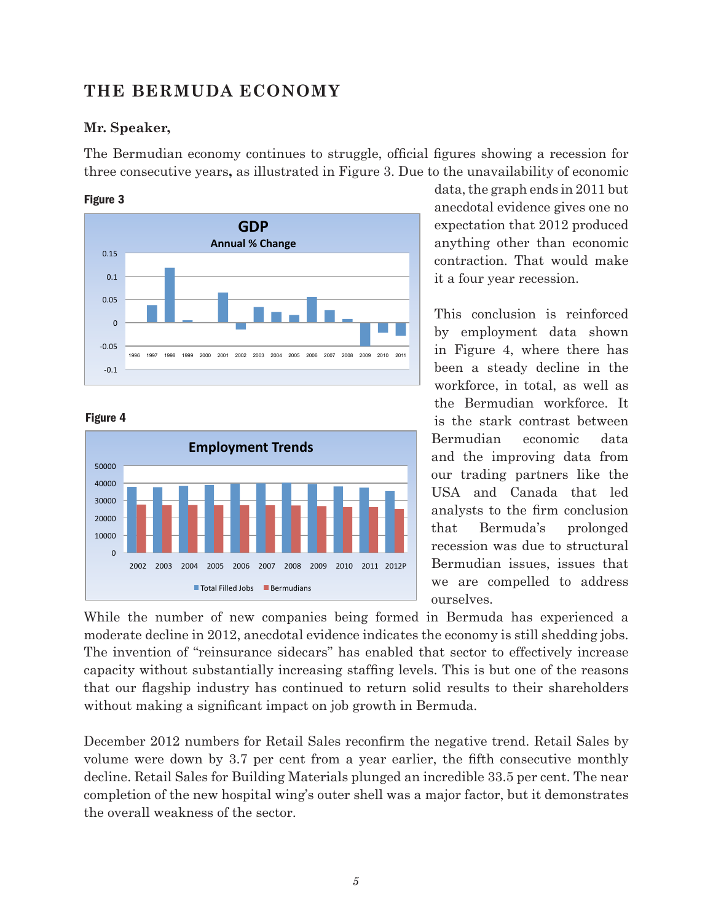## **THE BERMUDA ECONOMY**

#### **Mr. Speaker,**

The Bermudian economy continues to struggle, official figures showing a recession for three consecutive years**,** as illustrated in Figure 3. Due to the unavailability of economic

#### Figure 3



#### Figure 4



data, the graph ends in 2011 but anecdotal evidence gives one no expectation that 2012 produced anything other than economic contraction. That would make it a four year recession.

This conclusion is reinforced by employment data shown in Figure 4, where there has been a steady decline in the workforce, in total, as well as the Bermudian workforce. It is the stark contrast between Bermudian economic data and the improving data from our trading partners like the USA and Canada that led analysts to the firm conclusion that Bermuda's prolonged recession was due to structural Bermudian issues, issues that we are compelled to address ourselves.

While the number of new companies being formed in Bermuda has experienced a moderate decline in 2012, anecdotal evidence indicates the economy is still shedding jobs. The invention of "reinsurance sidecars" has enabled that sector to effectively increase capacity without substantially increasing staffing levels. This is but one of the reasons that our flagship industry has continued to return solid results to their shareholders without making a significant impact on job growth in Bermuda.

December 2012 numbers for Retail Sales reconfirm the negative trend. Retail Sales by volume were down by 3.7 per cent from a year earlier, the fifth consecutive monthly decline. Retail Sales for Building Materials plunged an incredible 33.5 per cent. The near completion of the new hospital wing's outer shell was a major factor, but it demonstrates the overall weakness of the sector.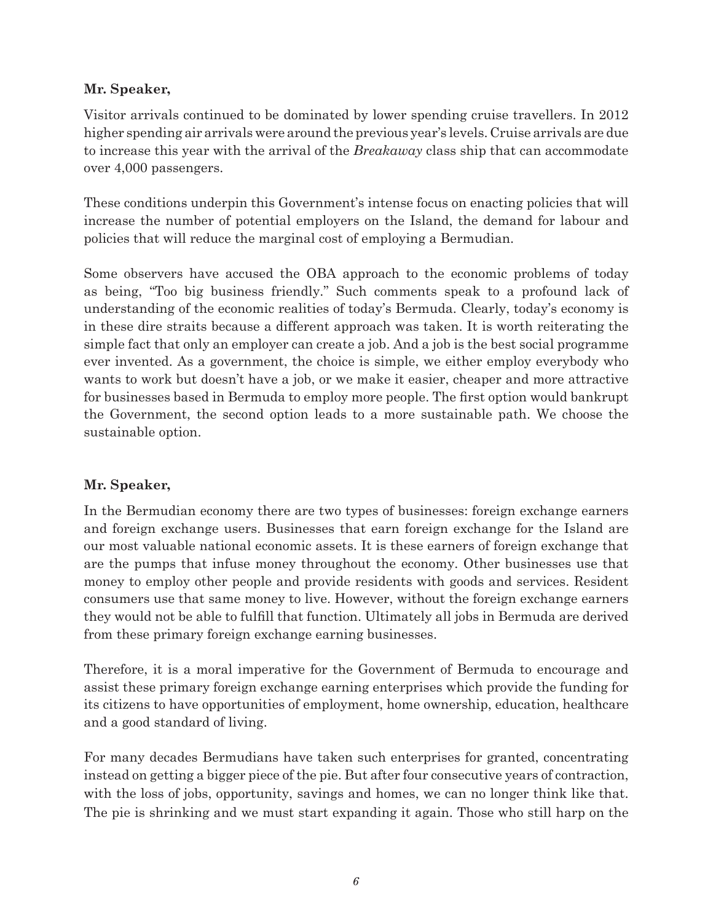#### **Mr. Speaker,**

Visitor arrivals continued to be dominated by lower spending cruise travellers. In 2012 higher spending air arrivals were around the previous year's levels. Cruise arrivals are due to increase this year with the arrival of the *Breakaway* class ship that can accommodate over 4,000 passengers.

These conditions underpin this Government's intense focus on enacting policies that will increase the number of potential employers on the Island, the demand for labour and policies that will reduce the marginal cost of employing a Bermudian.

Some observers have accused the OBA approach to the economic problems of today as being, "Too big business friendly." Such comments speak to a profound lack of understanding of the economic realities of today's Bermuda. Clearly, today's economy is in these dire straits because a different approach was taken. It is worth reiterating the simple fact that only an employer can create a job. And a job is the best social programme ever invented. As a government, the choice is simple, we either employ everybody who wants to work but doesn't have a job, or we make it easier, cheaper and more attractive for businesses based in Bermuda to employ more people. The first option would bankrupt the Government, the second option leads to a more sustainable path. We choose the sustainable option.

#### **Mr. Speaker,**

In the Bermudian economy there are two types of businesses: foreign exchange earners and foreign exchange users. Businesses that earn foreign exchange for the Island are our most valuable national economic assets. It is these earners of foreign exchange that are the pumps that infuse money throughout the economy. Other businesses use that money to employ other people and provide residents with goods and services. Resident consumers use that same money to live. However, without the foreign exchange earners they would not be able to fulfill that function. Ultimately all jobs in Bermuda are derived from these primary foreign exchange earning businesses.

Therefore, it is a moral imperative for the Government of Bermuda to encourage and assist these primary foreign exchange earning enterprises which provide the funding for its citizens to have opportunities of employment, home ownership, education, healthcare and a good standard of living.

For many decades Bermudians have taken such enterprises for granted, concentrating instead on getting a bigger piece of the pie. But after four consecutive years of contraction, with the loss of jobs, opportunity, savings and homes, we can no longer think like that. The pie is shrinking and we must start expanding it again. Those who still harp on the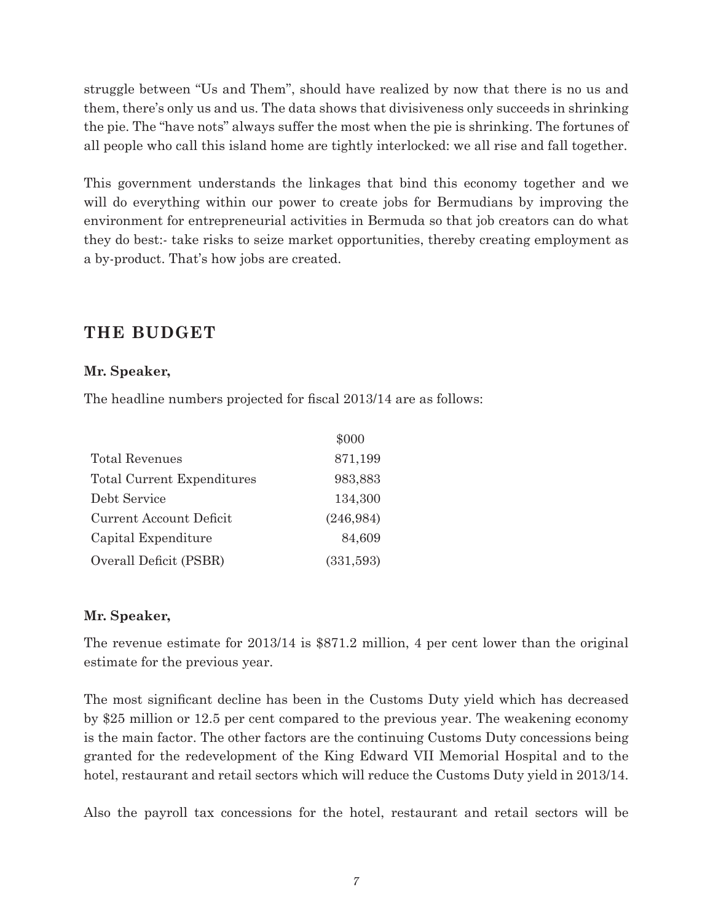struggle between "Us and Them", should have realized by now that there is no us and them, there's only us and us. The data shows that divisiveness only succeeds in shrinking the pie. The "have nots" always suffer the most when the pie is shrinking. The fortunes of all people who call this island home are tightly interlocked: we all rise and fall together.

This government understands the linkages that bind this economy together and we will do everything within our power to create jobs for Bermudians by improving the environment for entrepreneurial activities in Bermuda so that job creators can do what they do best:- take risks to seize market opportunities, thereby creating employment as a by-product. That's how jobs are created.

## **THE BUDGET**

#### **Mr. Speaker,**

The headline numbers projected for fiscal 2013/14 are as follows:

|                            | \$000      |
|----------------------------|------------|
| <b>Total Revenues</b>      | 871,199    |
| Total Current Expenditures | 983,883    |
| Debt Service               | 134,300    |
| Current Account Deficit    | (246, 984) |
| Capital Expenditure        | 84,609     |
| Overall Deficit (PSBR)     | (331,593)  |

#### **Mr. Speaker,**

The revenue estimate for 2013/14 is \$871.2 million, 4 per cent lower than the original estimate for the previous year.

The most significant decline has been in the Customs Duty yield which has decreased by \$25 million or 12.5 per cent compared to the previous year. The weakening economy is the main factor. The other factors are the continuing Customs Duty concessions being granted for the redevelopment of the King Edward VII Memorial Hospital and to the hotel, restaurant and retail sectors which will reduce the Customs Duty yield in 2013/14.

Also the payroll tax concessions for the hotel, restaurant and retail sectors will be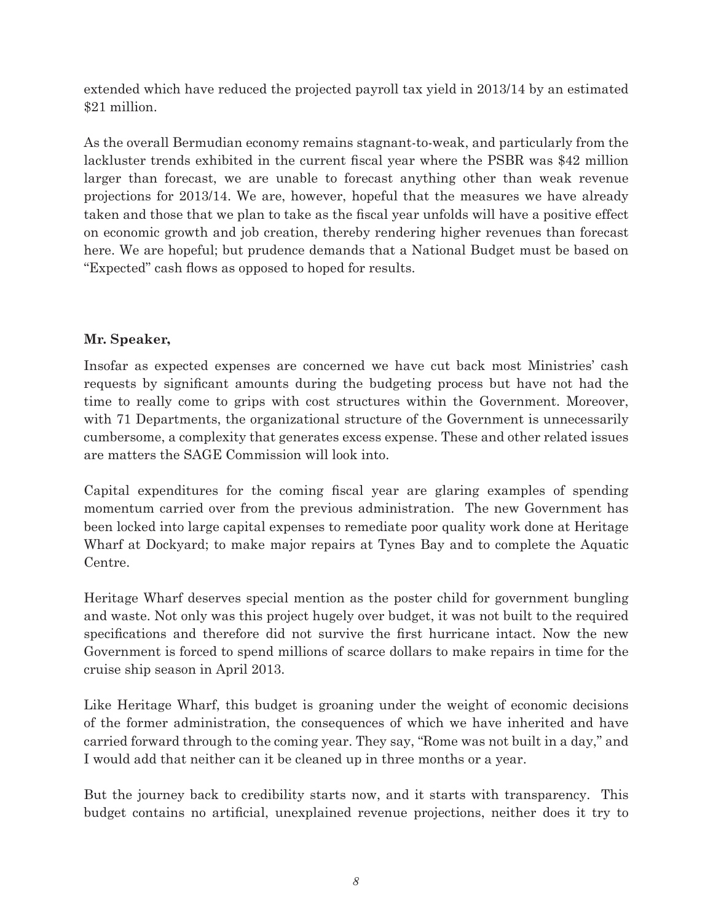extended which have reduced the projected payroll tax yield in 2013/14 by an estimated \$21 million.

As the overall Bermudian economy remains stagnant-to-weak, and particularly from the lackluster trends exhibited in the current fiscal year where the PSBR was \$42 million larger than forecast, we are unable to forecast anything other than weak revenue projections for 2013/14. We are, however, hopeful that the measures we have already taken and those that we plan to take as the fiscal year unfolds will have a positive effect on economic growth and job creation, thereby rendering higher revenues than forecast here. We are hopeful; but prudence demands that a National Budget must be based on "Expected" cash flows as opposed to hoped for results.

#### **Mr. Speaker,**

Insofar as expected expenses are concerned we have cut back most Ministries' cash requests by significant amounts during the budgeting process but have not had the time to really come to grips with cost structures within the Government. Moreover, with 71 Departments, the organizational structure of the Government is unnecessarily cumbersome, a complexity that generates excess expense. These and other related issues are matters the SAGE Commission will look into.

Capital expenditures for the coming fiscal year are glaring examples of spending momentum carried over from the previous administration. The new Government has been locked into large capital expenses to remediate poor quality work done at Heritage Wharf at Dockyard; to make major repairs at Tynes Bay and to complete the Aquatic Centre.

Heritage Wharf deserves special mention as the poster child for government bungling and waste. Not only was this project hugely over budget, it was not built to the required specifications and therefore did not survive the first hurricane intact. Now the new Government is forced to spend millions of scarce dollars to make repairs in time for the cruise ship season in April 2013.

Like Heritage Wharf, this budget is groaning under the weight of economic decisions of the former administration, the consequences of which we have inherited and have carried forward through to the coming year. They say, "Rome was not built in a day," and I would add that neither can it be cleaned up in three months or a year.

But the journey back to credibility starts now, and it starts with transparency. This budget contains no artificial, unexplained revenue projections, neither does it try to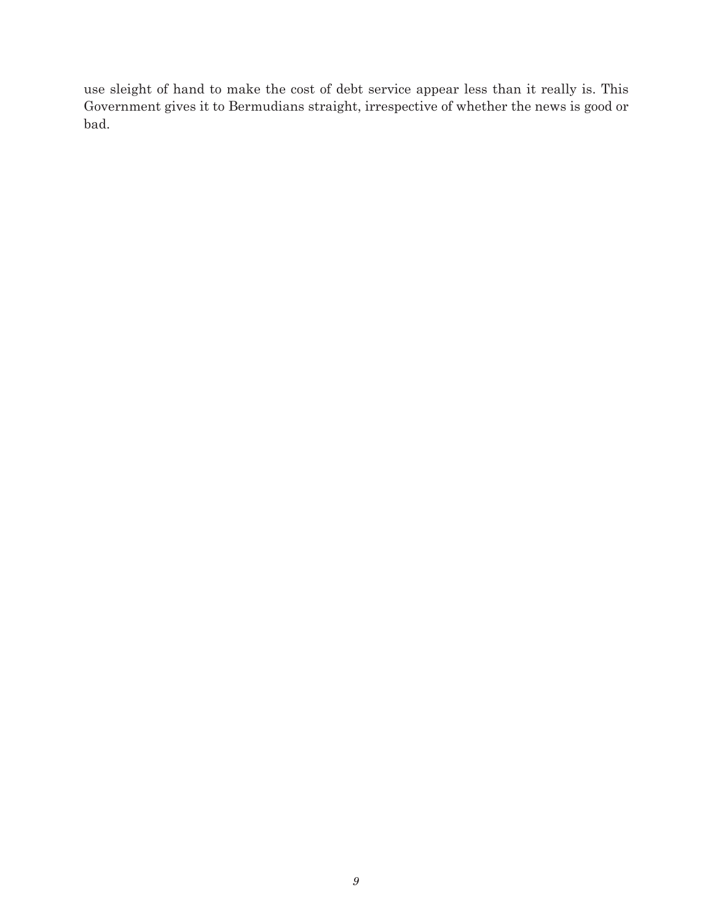use sleight of hand to make the cost of debt service appear less than it really is. This Government gives it to Bermudians straight, irrespective of whether the news is good or bad.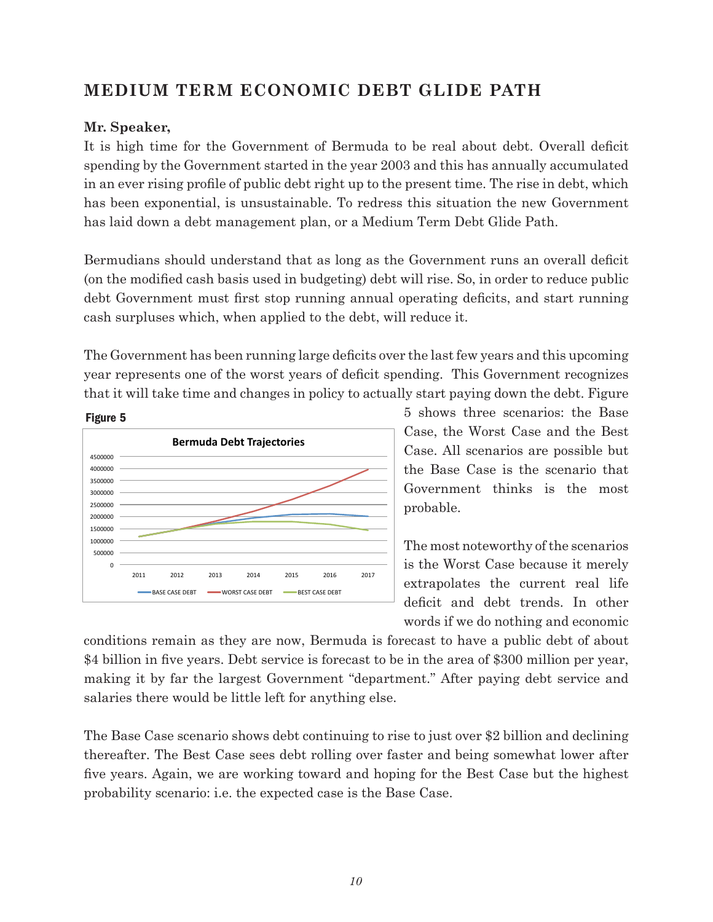## **MEDIUM TERM ECONOMIC DEBT GLIDE PATH**

#### **Mr. Speaker,**

It is high time for the Government of Bermuda to be real about debt. Overall deficit spending by the Government started in the year 2003 and this has annually accumulated in an ever rising profile of public debt right up to the present time. The rise in debt, which has been exponential, is unsustainable. To redress this situation the new Government has laid down a debt management plan, or a Medium Term Debt Glide Path.

Bermudians should understand that as long as the Government runs an overall deficit (on the modified cash basis used in budgeting) debt will rise. So, in order to reduce public debt Government must first stop running annual operating deficits, and start running cash surpluses which, when applied to the debt, will reduce it.

The Government has been running large deficits over the last few years and this upcoming year represents one of the worst years of deficit spending. This Government recognizes that it will take time and changes in policy to actually start paying down the debt. Figure



5 shows three scenarios: the Base Case, the Worst Case and the Best Case. All scenarios are possible but the Base Case is the scenario that Government thinks is the most probable.

The most noteworthy of the scenarios is the Worst Case because it merely extrapolates the current real life deficit and debt trends. In other words if we do nothing and economic

conditions remain as they are now, Bermuda is forecast to have a public debt of about \$4 billion in five years. Debt service is forecast to be in the area of \$300 million per year, making it by far the largest Government "department." After paying debt service and salaries there would be little left for anything else.

The Base Case scenario shows debt continuing to rise to just over \$2 billion and declining thereafter. The Best Case sees debt rolling over faster and being somewhat lower after five years. Again, we are working toward and hoping for the Best Case but the highest probability scenario: i.e. the expected case is the Base Case.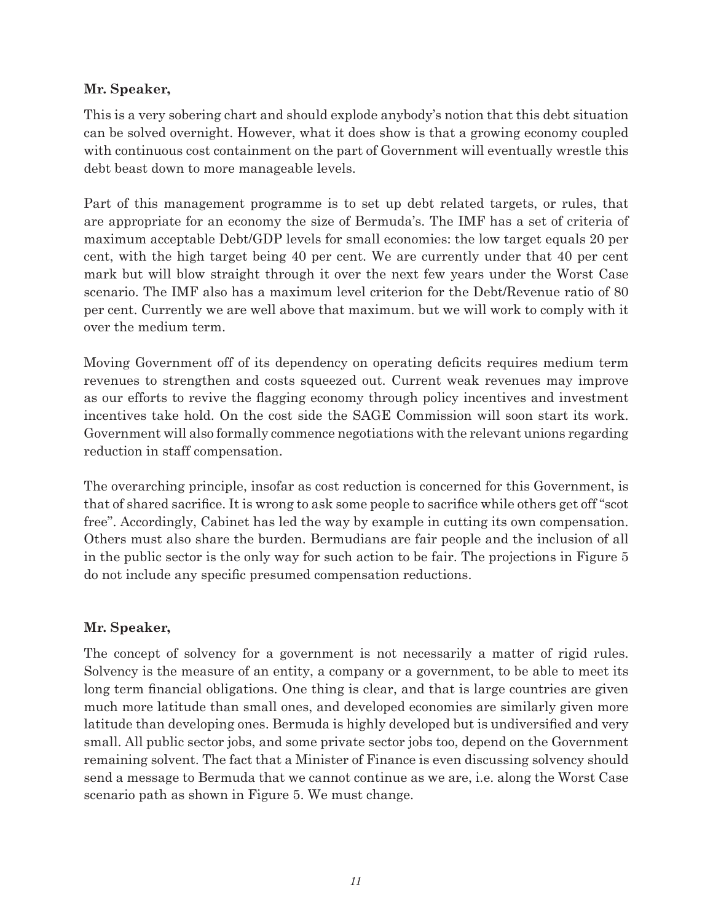#### **Mr. Speaker,**

This is a very sobering chart and should explode anybody's notion that this debt situation can be solved overnight. However, what it does show is that a growing economy coupled with continuous cost containment on the part of Government will eventually wrestle this debt beast down to more manageable levels.

Part of this management programme is to set up debt related targets, or rules, that are appropriate for an economy the size of Bermuda's. The IMF has a set of criteria of maximum acceptable Debt/GDP levels for small economies: the low target equals 20 per cent, with the high target being 40 per cent. We are currently under that 40 per cent mark but will blow straight through it over the next few years under the Worst Case scenario. The IMF also has a maximum level criterion for the Debt/Revenue ratio of 80 per cent. Currently we are well above that maximum. but we will work to comply with it over the medium term.

Moving Government off of its dependency on operating deficits requires medium term revenues to strengthen and costs squeezed out. Current weak revenues may improve as our efforts to revive the flagging economy through policy incentives and investment incentives take hold. On the cost side the SAGE Commission will soon start its work. Government will also formally commence negotiations with the relevant unions regarding reduction in staff compensation.

The overarching principle, insofar as cost reduction is concerned for this Government, is that of shared sacrifice. It is wrong to ask some people to sacrifice while others get off "scot free". Accordingly, Cabinet has led the way by example in cutting its own compensation. Others must also share the burden. Bermudians are fair people and the inclusion of all in the public sector is the only way for such action to be fair. The projections in Figure 5 do not include any specific presumed compensation reductions.

#### **Mr. Speaker,**

The concept of solvency for a government is not necessarily a matter of rigid rules. Solvency is the measure of an entity, a company or a government, to be able to meet its long term financial obligations. One thing is clear, and that is large countries are given much more latitude than small ones, and developed economies are similarly given more latitude than developing ones. Bermuda is highly developed but is undiversified and very small. All public sector jobs, and some private sector jobs too, depend on the Government remaining solvent. The fact that a Minister of Finance is even discussing solvency should send a message to Bermuda that we cannot continue as we are, i.e. along the Worst Case scenario path as shown in Figure 5. We must change.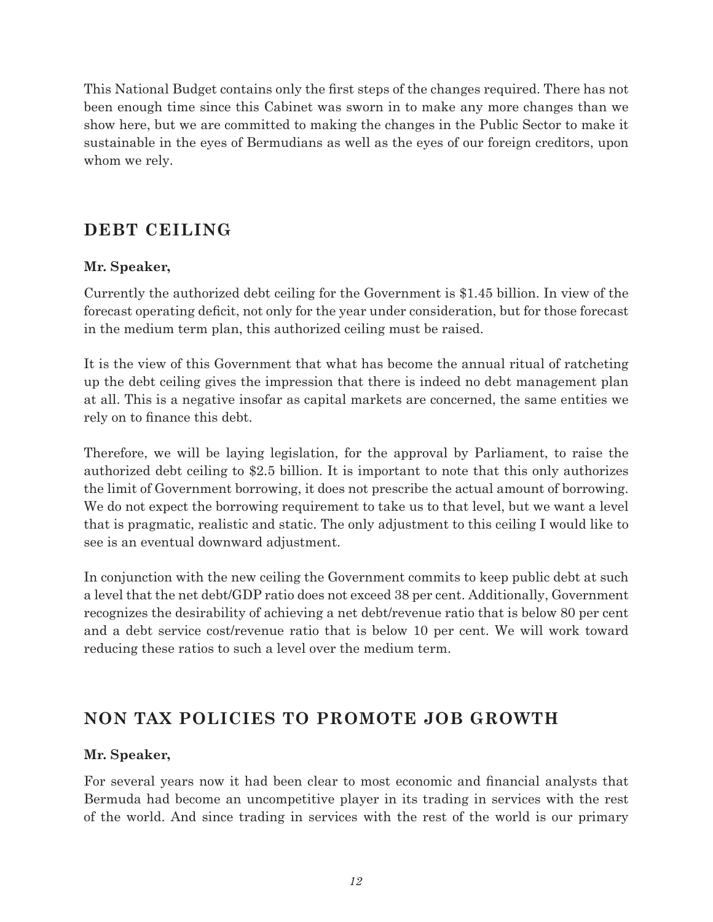This National Budget contains only the first steps of the changes required. There has not been enough time since this Cabinet was sworn in to make any more changes than we show here, but we are committed to making the changes in the Public Sector to make it sustainable in the eyes of Bermudians as well as the eyes of our foreign creditors, upon whom we rely.

## **DEBT CEILING**

#### **Mr. Speaker,**

Currently the authorized debt ceiling for the Government is \$1.45 billion. In view of the forecast operating deficit, not only for the year under consideration, but for those forecast in the medium term plan, this authorized ceiling must be raised.

It is the view of this Government that what has become the annual ritual of ratcheting up the debt ceiling gives the impression that there is indeed no debt management plan at all. This is a negative insofar as capital markets are concerned, the same entities we rely on to finance this debt.

Therefore, we will be laying legislation, for the approval by Parliament, to raise the authorized debt ceiling to \$2.5 billion. It is important to note that this only authorizes the limit of Government borrowing, it does not prescribe the actual amount of borrowing. We do not expect the borrowing requirement to take us to that level, but we want a level that is pragmatic, realistic and static. The only adjustment to this ceiling I would like to see is an eventual downward adjustment.

In conjunction with the new ceiling the Government commits to keep public debt at such a level that the net debt/GDP ratio does not exceed 38 per cent. Additionally, Government recognizes the desirability of achieving a net debt/revenue ratio that is below 80 per cent and a debt service cost/revenue ratio that is below 10 per cent. We will work toward reducing these ratios to such a level over the medium term.

## **NON TAX POLICIES TO PROMOTE JOB GROWTH**

#### **Mr. Speaker,**

For several years now it had been clear to most economic and financial analysts that Bermuda had become an uncompetitive player in its trading in services with the rest of the world. And since trading in services with the rest of the world is our primary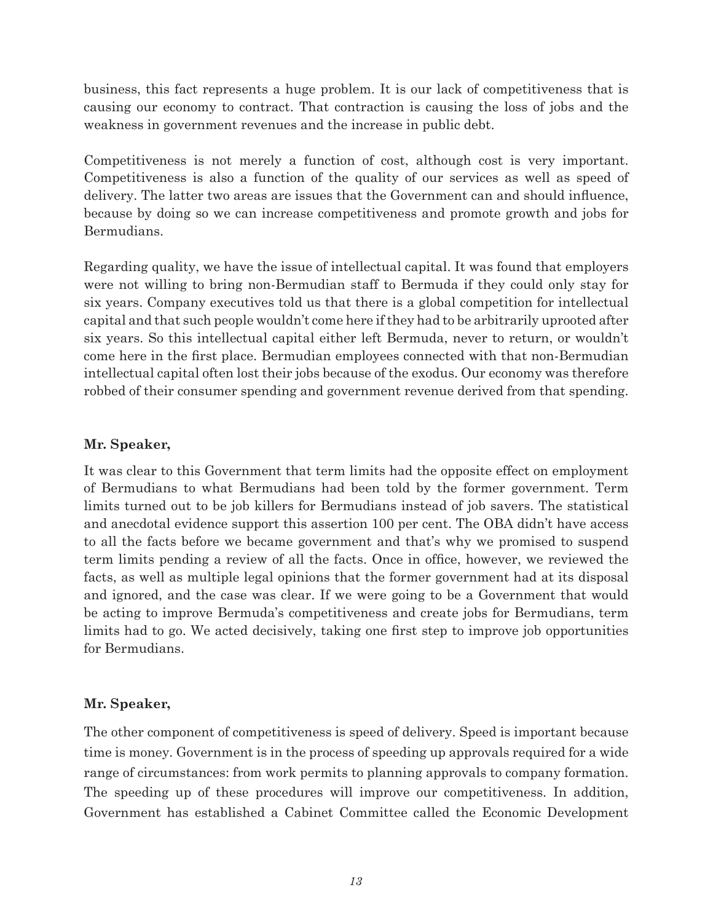business, this fact represents a huge problem. It is our lack of competitiveness that is causing our economy to contract. That contraction is causing the loss of jobs and the weakness in government revenues and the increase in public debt.

Competitiveness is not merely a function of cost, although cost is very important. Competitiveness is also a function of the quality of our services as well as speed of delivery. The latter two areas are issues that the Government can and should influence, because by doing so we can increase competitiveness and promote growth and jobs for Bermudians.

Regarding quality, we have the issue of intellectual capital. It was found that employers were not willing to bring non-Bermudian staff to Bermuda if they could only stay for six years. Company executives told us that there is a global competition for intellectual capital and that such people wouldn't come here if they had to be arbitrarily uprooted after six years. So this intellectual capital either left Bermuda, never to return, or wouldn't come here in the first place. Bermudian employees connected with that non-Bermudian intellectual capital often lost their jobs because of the exodus. Our economy was therefore robbed of their consumer spending and government revenue derived from that spending.

#### **Mr. Speaker,**

It was clear to this Government that term limits had the opposite effect on employment of Bermudians to what Bermudians had been told by the former government. Term limits turned out to be job killers for Bermudians instead of job savers. The statistical and anecdotal evidence support this assertion 100 per cent. The OBA didn't have access to all the facts before we became government and that's why we promised to suspend term limits pending a review of all the facts. Once in office, however, we reviewed the facts, as well as multiple legal opinions that the former government had at its disposal and ignored, and the case was clear. If we were going to be a Government that would be acting to improve Bermuda's competitiveness and create jobs for Bermudians, term limits had to go. We acted decisively, taking one first step to improve job opportunities for Bermudians.

#### **Mr. Speaker,**

The other component of competitiveness is speed of delivery. Speed is important because time is money. Government is in the process of speeding up approvals required for a wide range of circumstances: from work permits to planning approvals to company formation. The speeding up of these procedures will improve our competitiveness. In addition, Government has established a Cabinet Committee called the Economic Development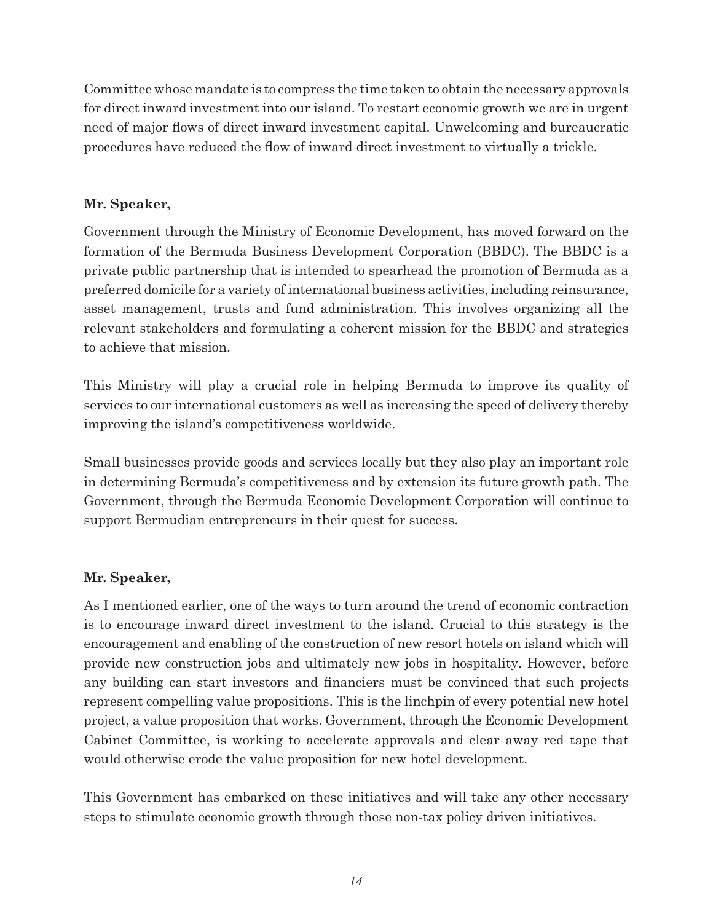Committee whose mandate is to compress the time taken to obtain the necessary approvals for direct inward investment into our island. To restart economic growth we are in urgent need of major flows of direct inward investment capital. Unwelcoming and bureaucratic procedures have reduced the flow of inward direct investment to virtually a trickle.

#### **Mr. Speaker,**

Government through the Ministry of Economic Development, has moved forward on the formation of the Bermuda Business Development Corporation (BBDC). The BBDC is a private public partnership that is intended to spearhead the promotion of Bermuda as a preferred domicile for a variety of international business activities, including reinsurance, asset management, trusts and fund administration. This involves organizing all the relevant stakeholders and formulating a coherent mission for the BBDC and strategies to achieve that mission.

This Ministry will play a crucial role in helping Bermuda to improve its quality of services to our international customers as well as increasing the speed of delivery thereby improving the island's competitiveness worldwide.

Small businesses provide goods and services locally but they also play an important role in determining Bermuda's competitiveness and by extension its future growth path. The Government, through the Bermuda Economic Development Corporation will continue to support Bermudian entrepreneurs in their quest for success.

#### **Mr. Speaker,**

As I mentioned earlier, one of the ways to turn around the trend of economic contraction is to encourage inward direct investment to the island. Crucial to this strategy is the encouragement and enabling of the construction of new resort hotels on island which will provide new construction jobs and ultimately new jobs in hospitality. However, before any building can start investors and financiers must be convinced that such projects represent compelling value propositions. This is the linchpin of every potential new hotel project, a value proposition that works. Government, through the Economic Development Cabinet Committee, is working to accelerate approvals and clear away red tape that would otherwise erode the value proposition for new hotel development.

This Government has embarked on these initiatives and will take any other necessary steps to stimulate economic growth through these non-tax policy driven initiatives.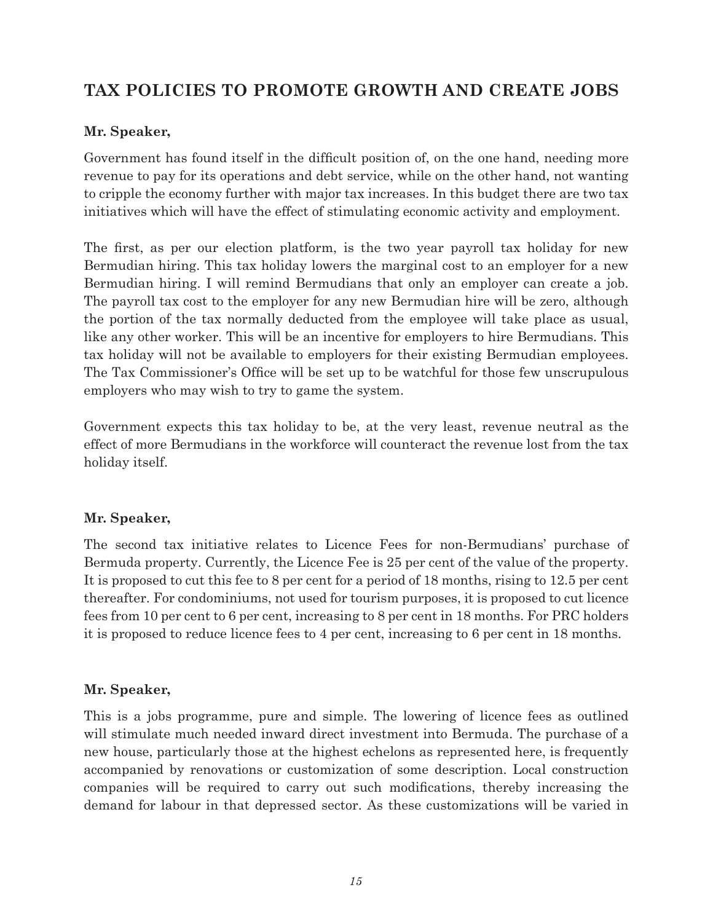## **TAX POLICIES TO PROMOTE GROWTH AND CREATE JOBS**

#### **Mr. Speaker,**

Government has found itself in the difficult position of, on the one hand, needing more revenue to pay for its operations and debt service, while on the other hand, not wanting to cripple the economy further with major tax increases. In this budget there are two tax initiatives which will have the effect of stimulating economic activity and employment.

The first, as per our election platform, is the two year payroll tax holiday for new Bermudian hiring. This tax holiday lowers the marginal cost to an employer for a new Bermudian hiring. I will remind Bermudians that only an employer can create a job. The payroll tax cost to the employer for any new Bermudian hire will be zero, although the portion of the tax normally deducted from the employee will take place as usual, like any other worker. This will be an incentive for employers to hire Bermudians. This tax holiday will not be available to employers for their existing Bermudian employees. The Tax Commissioner's Office will be set up to be watchful for those few unscrupulous employers who may wish to try to game the system.

Government expects this tax holiday to be, at the very least, revenue neutral as the effect of more Bermudians in the workforce will counteract the revenue lost from the tax holiday itself.

#### **Mr. Speaker,**

The second tax initiative relates to Licence Fees for non-Bermudians' purchase of Bermuda property. Currently, the Licence Fee is 25 per cent of the value of the property. It is proposed to cut this fee to 8 per cent for a period of 18 months, rising to 12.5 per cent thereafter. For condominiums, not used for tourism purposes, it is proposed to cut licence fees from 10 per cent to 6 per cent, increasing to 8 per cent in 18 months. For PRC holders it is proposed to reduce licence fees to 4 per cent, increasing to 6 per cent in 18 months.

#### **Mr. Speaker,**

This is a jobs programme, pure and simple. The lowering of licence fees as outlined will stimulate much needed inward direct investment into Bermuda. The purchase of a new house, particularly those at the highest echelons as represented here, is frequently accompanied by renovations or customization of some description. Local construction companies will be required to carry out such modifications, thereby increasing the demand for labour in that depressed sector. As these customizations will be varied in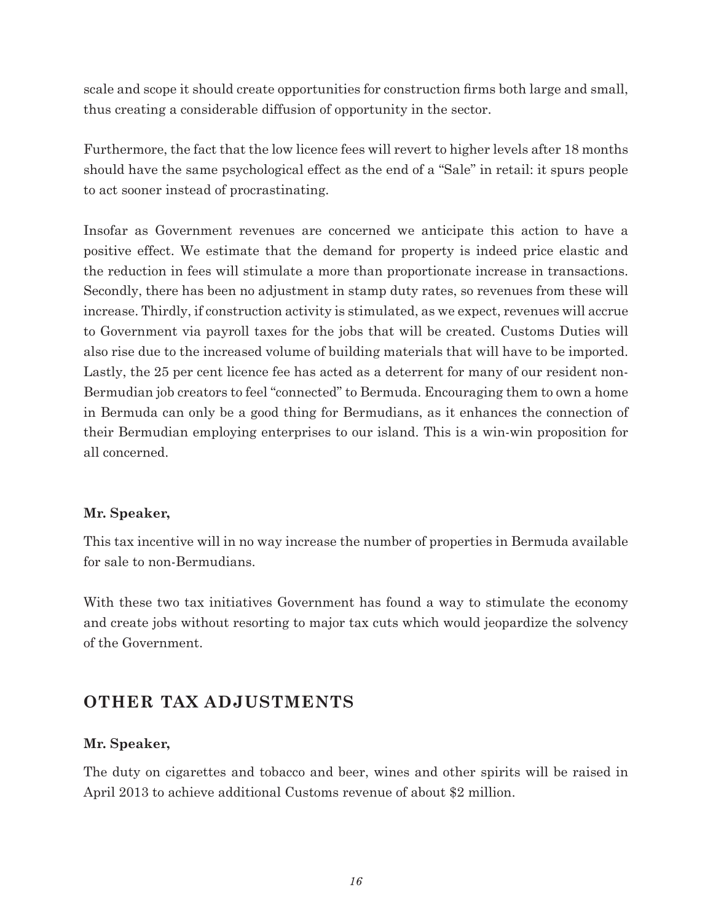scale and scope it should create opportunities for construction firms both large and small, thus creating a considerable diffusion of opportunity in the sector.

Furthermore, the fact that the low licence fees will revert to higher levels after 18 months should have the same psychological effect as the end of a "Sale" in retail: it spurs people to act sooner instead of procrastinating.

Insofar as Government revenues are concerned we anticipate this action to have a positive effect. We estimate that the demand for property is indeed price elastic and the reduction in fees will stimulate a more than proportionate increase in transactions. Secondly, there has been no adjustment in stamp duty rates, so revenues from these will increase. Thirdly, if construction activity is stimulated, as we expect, revenues will accrue to Government via payroll taxes for the jobs that will be created. Customs Duties will also rise due to the increased volume of building materials that will have to be imported. Lastly, the 25 per cent licence fee has acted as a deterrent for many of our resident non-Bermudian job creators to feel "connected" to Bermuda. Encouraging them to own a home in Bermuda can only be a good thing for Bermudians, as it enhances the connection of their Bermudian employing enterprises to our island. This is a win-win proposition for all concerned.

#### **Mr. Speaker,**

This tax incentive will in no way increase the number of properties in Bermuda available for sale to non-Bermudians.

With these two tax initiatives Government has found a way to stimulate the economy and create jobs without resorting to major tax cuts which would jeopardize the solvency of the Government.

## **OTHER TAX ADJUSTMENTS**

#### **Mr. Speaker,**

The duty on cigarettes and tobacco and beer, wines and other spirits will be raised in April 2013 to achieve additional Customs revenue of about \$2 million.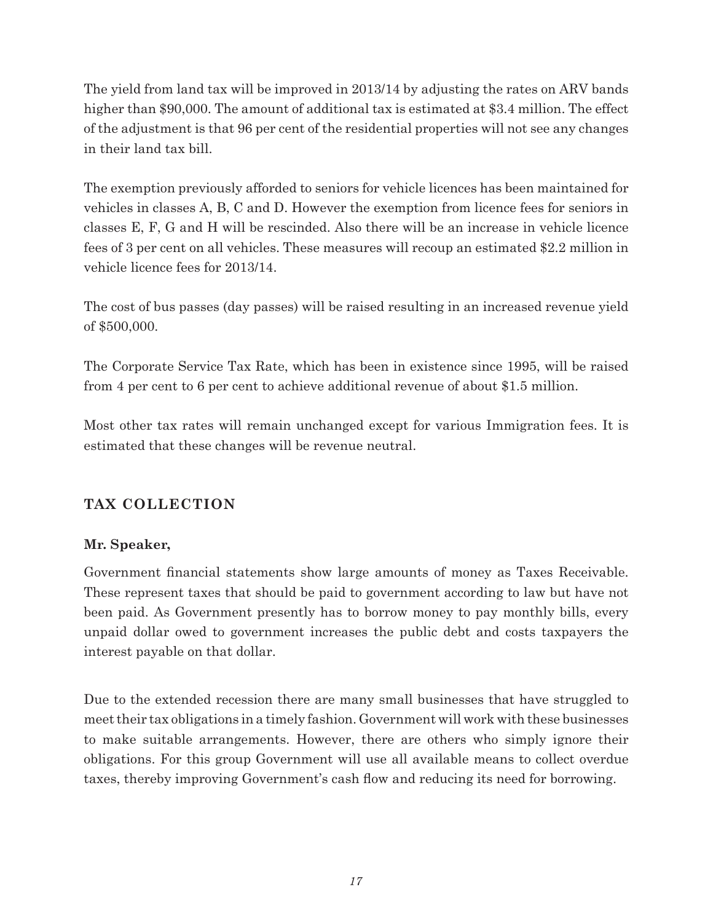The yield from land tax will be improved in 2013/14 by adjusting the rates on ARV bands higher than \$90,000. The amount of additional tax is estimated at \$3.4 million. The effect of the adjustment is that 96 per cent of the residential properties will not see any changes in their land tax bill.

The exemption previously afforded to seniors for vehicle licences has been maintained for vehicles in classes A, B, C and D. However the exemption from licence fees for seniors in classes E, F, G and H will be rescinded. Also there will be an increase in vehicle licence fees of 3 per cent on all vehicles. These measures will recoup an estimated \$2.2 million in vehicle licence fees for 2013/14.

The cost of bus passes (day passes) will be raised resulting in an increased revenue yield of \$500,000.

The Corporate Service Tax Rate, which has been in existence since 1995, will be raised from 4 per cent to 6 per cent to achieve additional revenue of about \$1.5 million.

Most other tax rates will remain unchanged except for various Immigration fees. It is estimated that these changes will be revenue neutral.

#### **TAX COLLECTION**

#### **Mr. Speaker,**

Government financial statements show large amounts of money as Taxes Receivable. These represent taxes that should be paid to government according to law but have not been paid. As Government presently has to borrow money to pay monthly bills, every unpaid dollar owed to government increases the public debt and costs taxpayers the interest payable on that dollar.

Due to the extended recession there are many small businesses that have struggled to meet their tax obligations in a timely fashion. Government will work with these businesses to make suitable arrangements. However, there are others who simply ignore their obligations. For this group Government will use all available means to collect overdue taxes, thereby improving Government's cash flow and reducing its need for borrowing.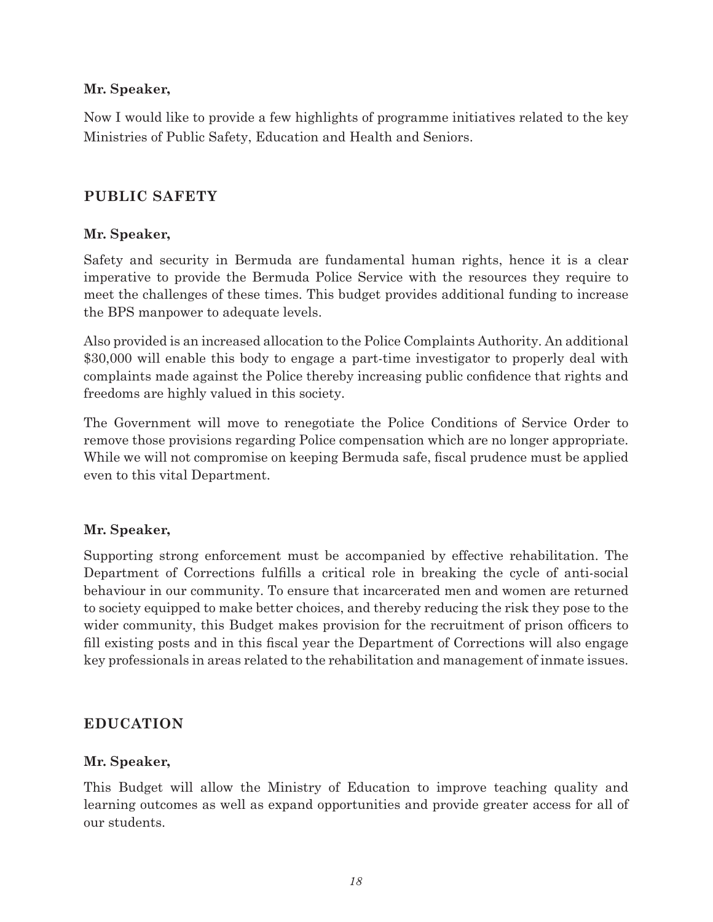#### **Mr. Speaker,**

Now I would like to provide a few highlights of programme initiatives related to the key Ministries of Public Safety, Education and Health and Seniors.

#### **PUBLIC SAFETY**

#### **Mr. Speaker,**

Safety and security in Bermuda are fundamental human rights, hence it is a clear imperative to provide the Bermuda Police Service with the resources they require to meet the challenges of these times. This budget provides additional funding to increase the BPS manpower to adequate levels.

Also provided is an increased allocation to the Police Complaints Authority. An additional \$30,000 will enable this body to engage a part-time investigator to properly deal with complaints made against the Police thereby increasing public confidence that rights and freedoms are highly valued in this society.

The Government will move to renegotiate the Police Conditions of Service Order to remove those provisions regarding Police compensation which are no longer appropriate. While we will not compromise on keeping Bermuda safe, fiscal prudence must be applied even to this vital Department.

#### **Mr. Speaker,**

Supporting strong enforcement must be accompanied by effective rehabilitation. The Department of Corrections fulfills a critical role in breaking the cycle of anti-social behaviour in our community. To ensure that incarcerated men and women are returned to society equipped to make better choices, and thereby reducing the risk they pose to the wider community, this Budget makes provision for the recruitment of prison officers to fill existing posts and in this fiscal year the Department of Corrections will also engage key professionals in areas related to the rehabilitation and management of inmate issues.

#### **EDUCATION**

#### **Mr. Speaker,**

This Budget will allow the Ministry of Education to improve teaching quality and learning outcomes as well as expand opportunities and provide greater access for all of our students.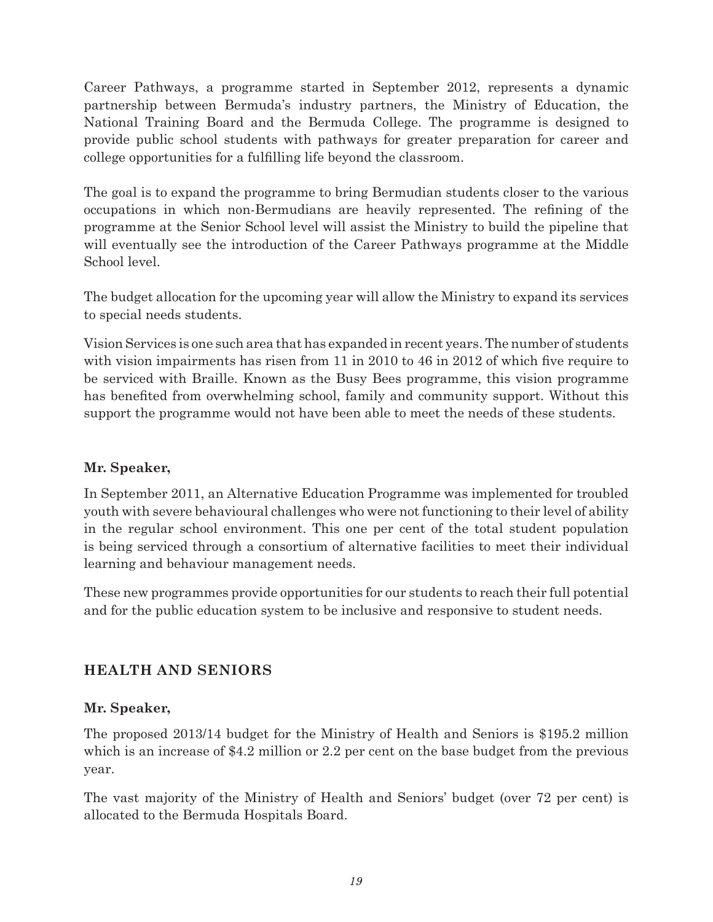Career Pathways, a programme started in September 2012, represents a dynamic partnership between Bermuda's industry partners, the Ministry of Education, the National Training Board and the Bermuda College. The programme is designed to provide public school students with pathways for greater preparation for career and college opportunities for a fulfilling life beyond the classroom.

The goal is to expand the programme to bring Bermudian students closer to the various occupations in which non-Bermudians are heavily represented. The refining of the programme at the Senior School level will assist the Ministry to build the pipeline that will eventually see the introduction of the Career Pathways programme at the Middle School level.

The budget allocation for the upcoming year will allow the Ministry to expand its services to special needs students.

Vision Services is one such area that has expanded in recent years. The number of students with vision impairments has risen from 11 in 2010 to 46 in 2012 of which five require to be serviced with Braille. Known as the Busy Bees programme, this vision programme has benefited from overwhelming school, family and community support. Without this support the programme would not have been able to meet the needs of these students.

#### **Mr. Speaker,**

In September 2011, an Alternative Education Programme was implemented for troubled youth with severe behavioural challenges who were not functioning to their level of ability in the regular school environment. This one per cent of the total student population is being serviced through a consortium of alternative facilities to meet their individual learning and behaviour management needs.

These new programmes provide opportunities for our students to reach their full potential and for the public education system to be inclusive and responsive to student needs.

#### **HEALTH AND SENIORS**

#### **Mr. Speaker,**

The proposed 2013/14 budget for the Ministry of Health and Seniors is \$195.2 million which is an increase of \$4.2 million or 2.2 per cent on the base budget from the previous year.

The vast majority of the Ministry of Health and Seniors' budget (over 72 per cent) is allocated to the Bermuda Hospitals Board.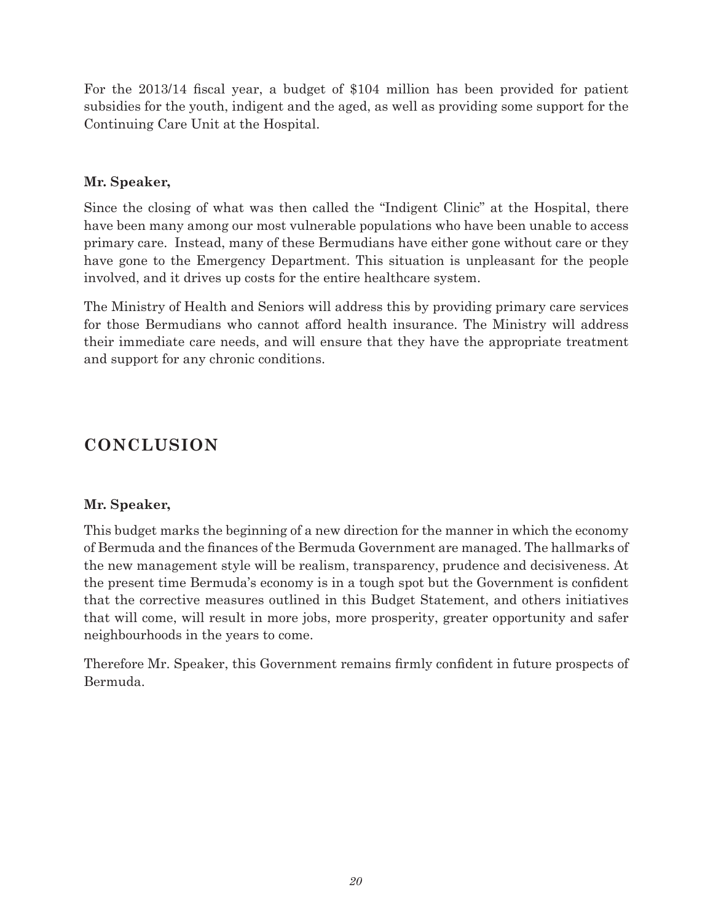For the 2013/14 fiscal year, a budget of \$104 million has been provided for patient subsidies for the youth, indigent and the aged, as well as providing some support for the Continuing Care Unit at the Hospital.

#### **Mr. Speaker,**

Since the closing of what was then called the "Indigent Clinic" at the Hospital, there have been many among our most vulnerable populations who have been unable to access primary care. Instead, many of these Bermudians have either gone without care or they have gone to the Emergency Department. This situation is unpleasant for the people involved, and it drives up costs for the entire healthcare system.

The Ministry of Health and Seniors will address this by providing primary care services for those Bermudians who cannot afford health insurance. The Ministry will address their immediate care needs, and will ensure that they have the appropriate treatment and support for any chronic conditions.

## **CONCLUSION**

#### **Mr. Speaker,**

This budget marks the beginning of a new direction for the manner in which the economy of Bermuda and the finances of the Bermuda Government are managed. The hallmarks of the new management style will be realism, transparency, prudence and decisiveness. At the present time Bermuda's economy is in a tough spot but the Government is confident that the corrective measures outlined in this Budget Statement, and others initiatives that will come, will result in more jobs, more prosperity, greater opportunity and safer neighbourhoods in the years to come.

Therefore Mr. Speaker, this Government remains firmly confident in future prospects of Bermuda.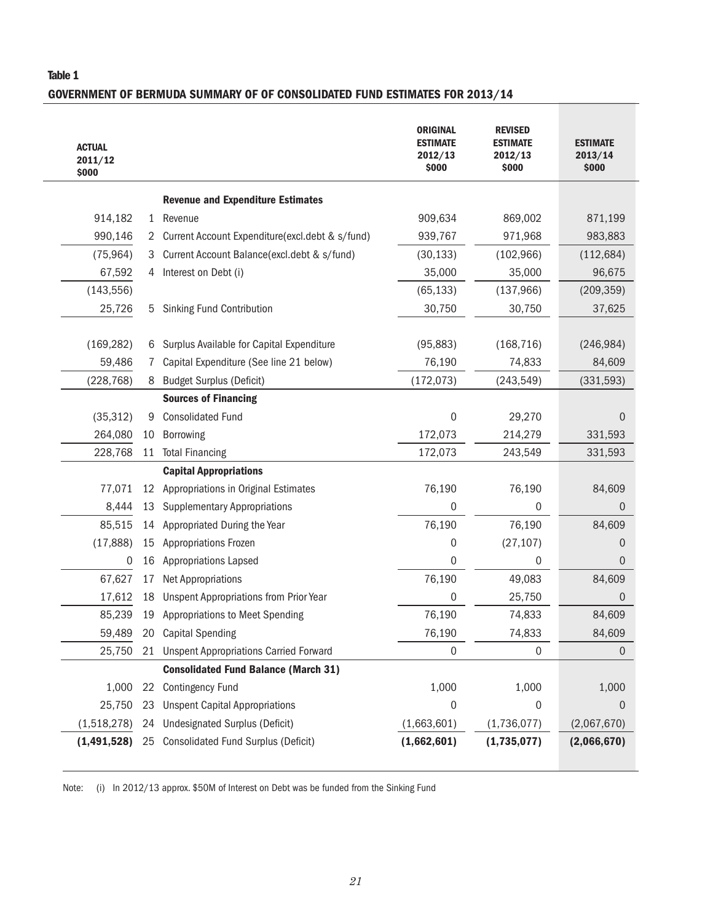#### Table 1

#### GOVERNMENT OF BERMUDA SUMMARY OF OF CONSOLIDATED FUND ESTIMATES FOR 2013/14

| <b>ACTUAL</b><br>2011/12<br>\$000 |              |                                                 | <b>ORIGINAL</b><br><b>ESTIMATE</b><br>2012/13<br>\$000 | <b>REVISED</b><br><b>ESTIMATE</b><br>2012/13<br>\$000 | <b>ESTIMATE</b><br>2013/14<br>\$000 |
|-----------------------------------|--------------|-------------------------------------------------|--------------------------------------------------------|-------------------------------------------------------|-------------------------------------|
|                                   |              | <b>Revenue and Expenditure Estimates</b>        |                                                        |                                                       |                                     |
| 914,182                           | $\mathbf{1}$ | Revenue                                         | 909,634                                                | 869,002                                               | 871,199                             |
| 990,146                           | 2            | Current Account Expenditure(excl.debt & s/fund) | 939,767                                                | 971,968                                               | 983,883                             |
| (75, 964)                         | З            | Current Account Balance(excl.debt & s/fund)     | (30, 133)                                              | (102, 966)                                            | (112, 684)                          |
| 67,592                            | 4            | Interest on Debt (i)                            | 35,000                                                 | 35,000                                                | 96,675                              |
| (143, 556)                        |              |                                                 | (65, 133)                                              | (137,966)                                             | (209, 359)                          |
| 25,726                            | 5.           | Sinking Fund Contribution                       | 30,750                                                 | 30,750                                                | 37,625                              |
| (169, 282)                        | 6            | Surplus Available for Capital Expenditure       | (95, 883)                                              | (168, 716)                                            | (246, 984)                          |
| 59,486                            | $\sqrt{2}$   | Capital Expenditure (See line 21 below)         | 76,190                                                 | 74,833                                                | 84,609                              |
| (228, 768)                        | 8            | <b>Budget Surplus (Deficit)</b>                 | (172, 073)                                             | (243, 549)                                            | (331,593)                           |
|                                   |              | <b>Sources of Financing</b>                     |                                                        |                                                       |                                     |
| (35, 312)                         | 9            | <b>Consolidated Fund</b>                        | 0                                                      | 29,270                                                | $\overline{0}$                      |
| 264,080                           | 10           | Borrowing                                       | 172,073                                                | 214,279                                               | 331,593                             |
| 228,768                           | 11           | <b>Total Financing</b>                          | 172,073                                                | 243,549                                               | 331,593                             |
|                                   |              | <b>Capital Appropriations</b>                   |                                                        |                                                       |                                     |
| 77,071                            |              | 12 Appropriations in Original Estimates         | 76,190                                                 | 76,190                                                | 84,609                              |
| 8,444                             | 13           | <b>Supplementary Appropriations</b>             | 0                                                      | 0                                                     | $\overline{0}$                      |
| 85,515                            | 14           | Appropriated During the Year                    | 76,190                                                 | 76,190                                                | 84,609                              |
| (17, 888)                         | 15           | Appropriations Frozen                           | 0                                                      | (27, 107)                                             | 0                                   |
| 0                                 | 16           | <b>Appropriations Lapsed</b>                    | 0                                                      | 0                                                     | $\overline{0}$                      |
| 67,627                            | 17           | <b>Net Appropriations</b>                       | 76,190                                                 | 49,083                                                | 84,609                              |
| 17,612                            | 18           | <b>Unspent Appropriations from Prior Year</b>   | 0                                                      | 25,750                                                | $\overline{0}$                      |
| 85,239                            | 19           | Appropriations to Meet Spending                 | 76,190                                                 | 74,833                                                | 84,609                              |
| 59,489                            | 20           | <b>Capital Spending</b>                         | 76,190                                                 | 74,833                                                | 84,609                              |
| 25,750                            |              | 21 Unspent Appropriations Carried Forward       | 0                                                      | 0                                                     | $\boldsymbol{0}$                    |
|                                   |              | <b>Consolidated Fund Balance (March 31)</b>     |                                                        |                                                       |                                     |
| 1,000                             | 22           | <b>Contingency Fund</b>                         | 1,000                                                  | 1,000                                                 | 1,000                               |
| 25,750                            | 23           | <b>Unspent Capital Appropriations</b>           | 0                                                      | 0                                                     | 0                                   |
| (1,518,278)                       | 24           | <b>Undesignated Surplus (Deficit)</b>           | (1,663,601)                                            | (1,736,077)                                           | (2,067,670)                         |
| (1, 491, 528)                     | 25           | <b>Consolidated Fund Surplus (Deficit)</b>      | (1,662,601)                                            | (1,735,077)                                           | (2,066,670)                         |

Note: (i) In 2012/13 approx. \$50M of Interest on Debt was be funded from the Sinking Fund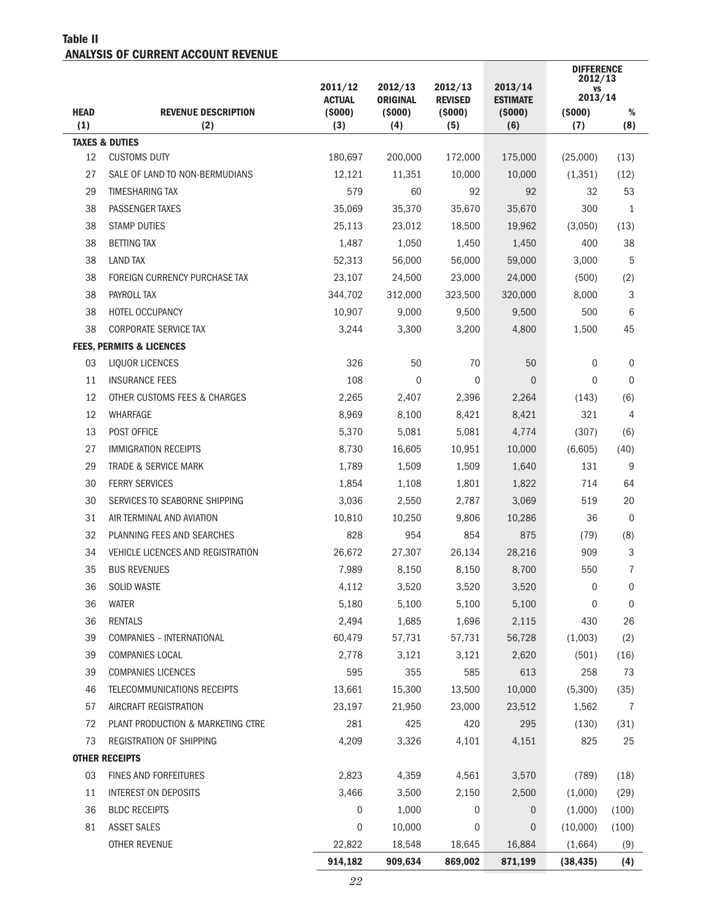#### Table II ANALYSIS OF CURRENT ACCOUNT REVENUE

|                    |                                     | 2011/12<br><b>ACTUAL</b> | 2012/13<br><b>ORIGINAL</b> | 2012/13<br><b>REVISED</b> | 2013/14<br><b>ESTIMATE</b> | <b>DIFFERENCE</b><br>2012/13<br>٧S<br>2013/14 |                |
|--------------------|-------------------------------------|--------------------------|----------------------------|---------------------------|----------------------------|-----------------------------------------------|----------------|
| <b>HEAD</b><br>(1) | <b>REVENUE DESCRIPTION</b><br>(2)   | (5000)<br>(3)            | (5000)<br>(4)              | (5000)<br>(5)             | (5000)<br>(6)              | (5000)<br>(7)                                 | %<br>(8)       |
|                    | <b>TAXES &amp; DUTIES</b>           |                          |                            |                           |                            |                                               |                |
| 12                 | <b>CUSTOMS DUTY</b>                 | 180,697                  | 200,000                    | 172,000                   | 175,000                    | (25,000)                                      | (13)           |
| 27                 | SALE OF LAND TO NON-BERMUDIANS      | 12,121                   | 11,351                     | 10,000                    | 10,000                     | (1, 351)                                      | (12)           |
| 29                 | <b>TIMESHARING TAX</b>              | 579                      | 60                         | 92                        | 92                         | 32                                            | 53             |
| 38                 | PASSENGER TAXES                     | 35,069                   | 35,370                     | 35,670                    | 35,670                     | 300                                           | 1              |
| 38                 | <b>STAMP DUTIES</b>                 | 25,113                   | 23,012                     | 18,500                    | 19,962                     | (3,050)                                       | (13)           |
| 38                 | <b>BETTING TAX</b>                  | 1,487                    | 1,050                      | 1,450                     | 1,450                      | 400                                           | 38             |
| 38                 | <b>LAND TAX</b>                     | 52,313                   | 56,000                     | 56,000                    | 59,000                     | 3,000                                         | 5              |
| 38                 | FOREIGN CURRENCY PURCHASE TAX       | 23,107                   | 24,500                     | 23,000                    | 24,000                     | (500)                                         | (2)            |
| 38                 | PAYROLL TAX                         | 344,702                  | 312,000                    | 323,500                   | 320,000                    | 8,000                                         | 3              |
| 38                 | <b>HOTEL OCCUPANCY</b>              | 10,907                   | 9,000                      | 9,500                     | 9,500                      | 500                                           | 6              |
| 38                 | <b>CORPORATE SERVICE TAX</b>        | 3,244                    | 3,300                      | 3,200                     | 4,800                      | 1,500                                         | 45             |
|                    | <b>FEES, PERMITS &amp; LICENCES</b> |                          |                            |                           |                            |                                               |                |
| 03                 | LIQUOR LICENCES                     | 326                      | 50                         | 70                        | 50                         | 0                                             | 0              |
| 11                 | <b>INSURANCE FEES</b>               | 108                      | $\mathbf{0}$               | $\mathbf{0}$              | $\overline{0}$             | $\Omega$                                      | $\mathbf{0}$   |
| 12                 | OTHER CUSTOMS FEES & CHARGES        | 2,265                    | 2,407                      | 2,396                     | 2,264                      | (143)                                         | (6)            |
| 12                 | WHARFAGE                            | 8,969                    | 8,100                      | 8,421                     | 8,421                      | 321                                           | 4              |
| 13                 | POST OFFICE                         | 5,370                    | 5,081                      | 5,081                     | 4,774                      | (307)                                         | (6)            |
| 27                 | <b>IMMIGRATION RECEIPTS</b>         | 8,730                    | 16,605                     | 10,951                    | 10,000                     | (6,605)                                       | (40)           |
| 29                 | <b>TRADE &amp; SERVICE MARK</b>     | 1,789                    | 1,509                      | 1,509                     | 1,640                      | 131                                           | 9              |
| 30                 | <b>FERRY SERVICES</b>               | 1,854                    | 1,108                      | 1,801                     | 1,822                      | 714                                           | 64             |
| 30                 | SERVICES TO SEABORNE SHIPPING       | 3,036                    | 2,550                      | 2,787                     | 3,069                      | 519                                           | 20             |
| 31                 | AIR TERMINAL AND AVIATION           | 10,810                   | 10,250                     | 9,806                     | 10,286                     | 36                                            | $\mathbf 0$    |
| 32                 | PLANNING FEES AND SEARCHES          | 828                      | 954                        | 854                       | 875                        | (79)                                          | (8)            |
| 34                 | VEHICLE LICENCES AND REGISTRATION   | 26,672                   | 27,307                     | 26,134                    | 28,216                     | 909                                           | 3              |
| 35                 | <b>BUS REVENUES</b>                 | 7,989                    | 8,150                      | 8,150                     | 8,700                      | 550                                           | 7              |
| 36                 | <b>SOLID WASTE</b>                  | 4,112                    | 3,520                      | 3,520                     | 3,520                      | $\overline{0}$                                | 0              |
| 36                 | <b>WATER</b>                        | 5,180                    | 5,100                      | 5,100                     | 5,100                      | 0                                             | $\mathbf 0$    |
| 36                 | <b>RENTALS</b>                      | 2,494                    | 1,685                      | 1,696                     | 2,115                      | 430                                           | 26             |
| 39                 | <b>COMPANIES - INTERNATIONAL</b>    | 60,479                   | 57,731                     | 57,731                    | 56,728                     | (1,003)                                       | (2)            |
| 39                 | COMPANIES LOCAL                     | 2,778                    | 3,121                      | 3,121                     | 2,620                      | (501)                                         | (16)           |
| 39                 | <b>COMPANIES LICENCES</b>           | 595                      | 355                        | 585                       | 613                        | 258                                           | 73             |
| 46                 | TELECOMMUNICATIONS RECEIPTS         | 13,661                   | 15,300                     | 13,500                    | 10,000                     | (5,300)                                       | (35)           |
| 57                 | AIRCRAFT REGISTRATION               | 23,197                   | 21,950                     | 23,000                    | 23,512                     | 1,562                                         | $\overline{7}$ |
| 72                 | PLANT PRODUCTION & MARKETING CTRE   | 281                      | 425                        | 420                       | 295                        | (130)                                         | (31)           |
| 73                 | <b>REGISTRATION OF SHIPPING</b>     | 4,209                    | 3,326                      | 4,101                     | 4,151                      | 825                                           | 25             |
|                    | <b>OTHER RECEIPTS</b>               |                          |                            |                           |                            |                                               |                |
| 03                 | <b>FINES AND FORFEITURES</b>        | 2,823                    | 4,359                      | 4,561                     | 3,570                      | (789)                                         | (18)           |
| 11                 | INTEREST ON DEPOSITS                | 3,466                    | 3,500                      | 2,150                     | 2,500                      | (1,000)                                       | (29)           |
| 36                 | <b>BLDC RECEIPTS</b>                | $\mathbf 0$              | 1,000                      | $\mathbf 0$               | 0                          | (1,000)                                       | (100)          |
| 81                 | <b>ASSET SALES</b>                  | 0                        | 10,000                     | 0                         | 0                          | (10,000)                                      | (100)          |
|                    | OTHER REVENUE                       | 22,822                   | 18,548                     | 18,645                    | 16,884                     | (1,664)                                       | (9)            |
|                    |                                     | 914,182                  | 909,634                    | 869,002                   | 871,199                    | (38, 435)                                     | (4)            |
|                    |                                     |                          |                            |                           |                            |                                               |                |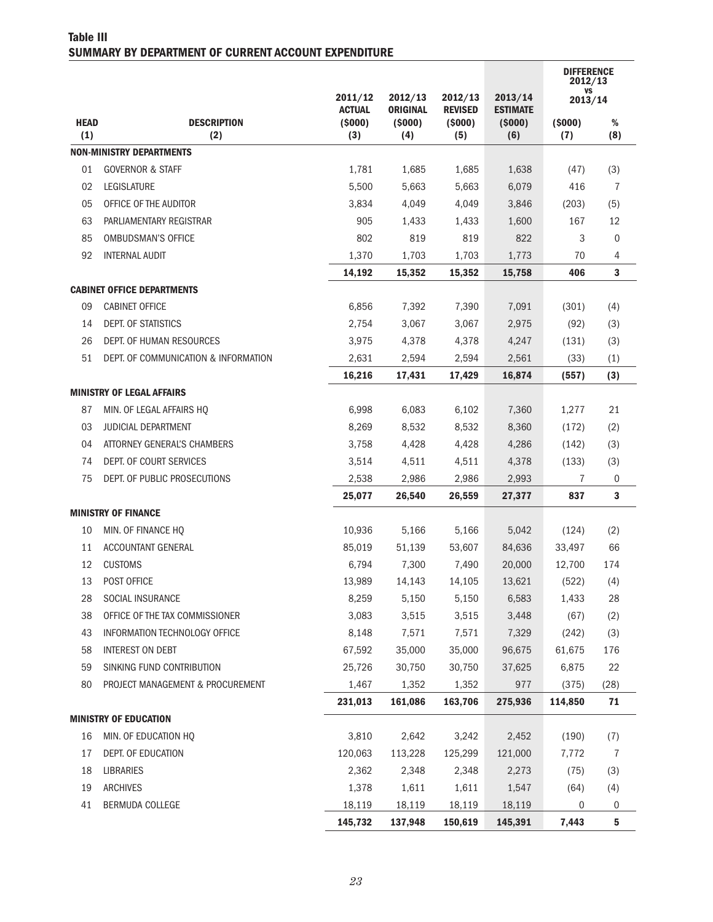#### Table III SUMMARY BY DEPARTMENT OF CURRENT ACCOUNT EXPENDITURE

|                    |                                      |                          |                            |                           |                            | <b>DIFFERENCE</b><br>2012/13 |                  |
|--------------------|--------------------------------------|--------------------------|----------------------------|---------------------------|----------------------------|------------------------------|------------------|
|                    |                                      | 2011/12<br><b>ACTUAL</b> | 2012/13<br><b>ORIGINAL</b> | 2012/13<br><b>REVISED</b> | 2013/14<br><b>ESTIMATE</b> | VS<br>2013/14                |                  |
| <b>HEAD</b><br>(1) | <b>DESCRIPTION</b><br>(2)            | (5000)<br>(3)            | (5000)<br>(4)              | (5000)<br>(5)             | (5000)<br>(6)              | (5000)<br>(7)                | $\%$<br>(8)      |
|                    | <b>NON-MINISTRY DEPARTMENTS</b>      |                          |                            |                           |                            |                              |                  |
| 01                 | <b>GOVERNOR &amp; STAFF</b>          | 1,781                    | 1,685                      | 1,685                     | 1,638                      | (47)                         | (3)              |
| 02                 | <b>LEGISLATURE</b>                   | 5,500                    | 5,663                      | 5,663                     | 6,079                      | 416                          | 7                |
| 05                 | OFFICE OF THE AUDITOR                | 3,834                    | 4,049                      | 4,049                     | 3,846                      | (203)                        | (5)              |
| 63                 | PARLIAMENTARY REGISTRAR              | 905                      | 1,433                      | 1,433                     | 1,600                      | 167                          | 12               |
| 85                 | <b>OMBUDSMAN'S OFFICE</b>            | 802                      | 819                        | 819                       | 822                        | 3                            | 0                |
| 92                 | <b>INTERNAL AUDIT</b>                | 1,370                    | 1,703                      | 1,703                     | 1,773                      | 70                           | 4                |
|                    |                                      | 14,192                   | 15,352                     | 15,352                    | 15,758                     | 406                          | 3                |
|                    | <b>CABINET OFFICE DEPARTMENTS</b>    |                          |                            |                           |                            |                              |                  |
| 09                 | <b>CABINET OFFICE</b>                | 6,856                    | 7,392                      | 7,390                     | 7,091                      | (301)                        | (4)              |
| 14                 | DEPT. OF STATISTICS                  | 2,754                    | 3,067                      | 3,067                     | 2,975                      | (92)                         | (3)              |
| 26                 | DEPT. OF HUMAN RESOURCES             | 3,975                    | 4,378                      | 4,378                     | 4,247                      | (131)                        | (3)              |
| 51                 | DEPT. OF COMMUNICATION & INFORMATION | 2,631                    | 2,594                      | 2,594                     | 2,561                      | (33)                         | (1)              |
|                    |                                      | 16,216                   | 17,431                     | 17,429                    | 16,874                     | (557)                        | (3)              |
|                    | <b>MINISTRY OF LEGAL AFFAIRS</b>     |                          |                            |                           |                            |                              |                  |
| 87                 | MIN. OF LEGAL AFFAIRS HQ             | 6,998                    | 6,083                      | 6,102                     | 7,360                      | 1,277                        | 21               |
| 03                 | <b>JUDICIAL DEPARTMENT</b>           | 8,269                    | 8,532                      | 8,532                     | 8,360                      | (172)                        | (2)              |
| 04                 | ATTORNEY GENERAL'S CHAMBERS          | 3,758                    | 4,428                      | 4,428                     | 4,286                      | (142)                        | (3)              |
| 74                 | DEPT. OF COURT SERVICES              | 3,514                    | 4,511                      | 4,511                     | 4,378                      | (133)                        | (3)              |
| 75                 | DEPT. OF PUBLIC PROSECUTIONS         | 2,538                    | 2,986                      | 2,986                     | 2,993                      | 7                            | 0                |
|                    |                                      | 25,077                   | 26,540                     | 26,559                    | 27,377                     | 837                          | 3                |
|                    | <b>MINISTRY OF FINANCE</b>           |                          |                            |                           |                            |                              |                  |
| 10                 | MIN. OF FINANCE HQ                   | 10,936                   | 5,166                      | 5,166                     | 5,042                      | (124)                        | (2)              |
| 11                 | <b>ACCOUNTANT GENERAL</b>            | 85,019                   | 51,139                     | 53,607                    | 84,636                     | 33,497                       | 66               |
| 12                 | <b>CUSTOMS</b>                       | 6,794                    | 7,300                      | 7,490                     | 20,000                     | 12,700                       | 174              |
| 13                 | POST OFFICE                          | 13,989                   | 14,143                     | 14,105                    | 13,621                     | (522)                        | (4)              |
| 28                 | SOCIAL INSURANCE                     | 8,259                    | 5,150                      | 5,150                     | 6,583                      | 1,433                        | 28               |
| 38                 | OFFICE OF THE TAX COMMISSIONER       | 3,083                    | 3,515                      | 3,515                     | 3,448                      | (67)                         | (2)              |
| 43                 | INFORMATION TECHNOLOGY OFFICE        | 8,148                    | 7,571                      | 7,571                     | 7,329                      | (242)                        | (3)              |
| 58                 | <b>INTEREST ON DEBT</b>              | 67,592                   | 35,000                     | 35,000                    | 96,675                     | 61,675                       | 176              |
| 59                 | SINKING FUND CONTRIBUTION            | 25,726                   | 30,750                     | 30,750                    | 37,625                     | 6,875                        | 22               |
| 80                 | PROJECT MANAGEMENT & PROCUREMENT     | 1,467                    | 1,352                      | 1,352                     | 977                        | (375)                        | (28)             |
|                    |                                      | 231,013                  | 161,086                    | 163,706                   | 275,936                    | 114,850                      | $71$             |
|                    | <b>MINISTRY OF EDUCATION</b>         |                          |                            |                           |                            |                              |                  |
| 16                 | MIN. OF EDUCATION HQ                 | 3,810                    | 2,642                      | 3,242                     | 2,452                      | (190)                        | (7)              |
| 17                 | DEPT. OF EDUCATION                   | 120,063                  | 113,228                    | 125,299                   | 121,000                    | 7,772                        | $\overline{1}$   |
| 18                 | <b>LIBRARIES</b>                     | 2,362                    | 2,348                      | 2,348                     | 2,273                      | (75)                         | (3)              |
| 19                 | <b>ARCHIVES</b>                      | 1,378                    | 1,611                      | 1,611                     | 1,547                      | (64)                         | (4)              |
| 41                 | BERMUDA COLLEGE                      | 18,119                   | 18,119                     | 18,119                    | 18,119                     | 0<br>7,443                   | $\boldsymbol{0}$ |
|                    |                                      | 145,732                  | 137,948                    | 150,619                   | 145,391                    |                              | 5                |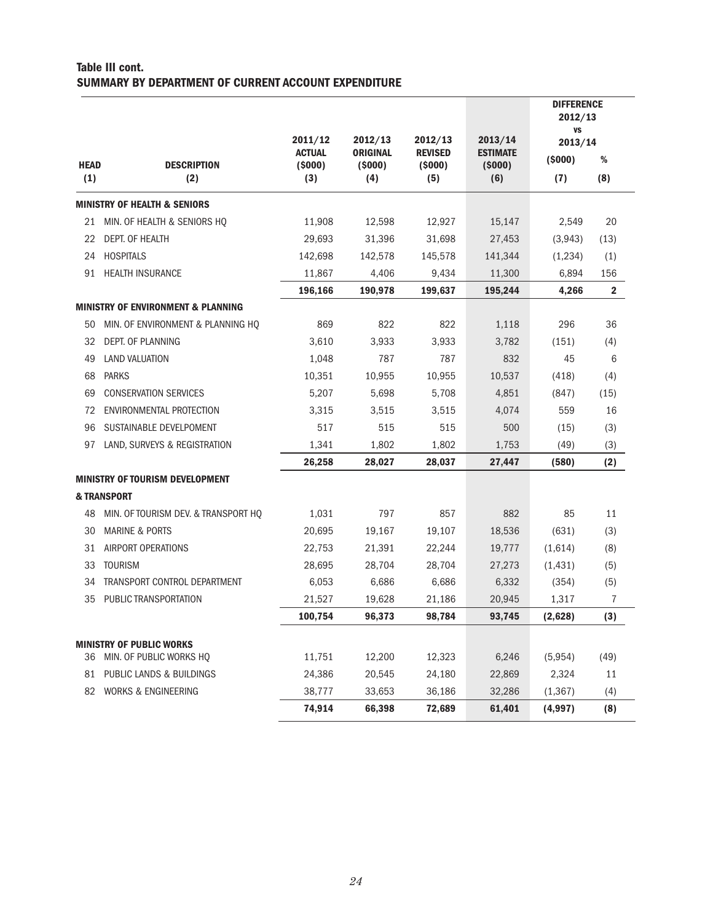#### Table III cont. SUMMARY BY DEPARTMENT OF CURRENT ACCOUNT EXPENDITURE

| <b>HEAD</b><br>(1) | <b>DESCRIPTION</b><br>(2)                     | 2011/12<br><b>ACTUAL</b><br>(5000)<br>(3) | 2012/13<br><b>ORIGINAL</b><br>(5000)<br>(4) | 2012/13<br><b>REVISED</b><br>(5000)<br>(5) | 2013/14<br><b>ESTIMATE</b><br>(5000)<br>(6) | <b>DIFFERENCE</b><br>2012/13<br><b>VS</b><br>2013/14<br>(5000)<br>(7) | %<br>(8)       |
|--------------------|-----------------------------------------------|-------------------------------------------|---------------------------------------------|--------------------------------------------|---------------------------------------------|-----------------------------------------------------------------------|----------------|
|                    | <b>MINISTRY OF HEALTH &amp; SENIORS</b>       |                                           |                                             |                                            |                                             |                                                                       |                |
| 21                 | MIN. OF HEALTH & SENIORS HQ                   | 11,908                                    | 12,598                                      | 12,927                                     | 15,147                                      | 2,549                                                                 | 20             |
| 22                 | DEPT. OF HEALTH                               | 29.693                                    | 31,396                                      | 31,698                                     | 27,453                                      | (3,943)                                                               | (13)           |
| 24                 | <b>HOSPITALS</b>                              | 142,698                                   | 142.578                                     | 145,578                                    | 141,344                                     | (1,234)                                                               | (1)            |
| 91                 | <b>HEALTH INSURANCE</b>                       | 11,867                                    | 4,406                                       | 9,434                                      | 11,300                                      | 6,894                                                                 | 156            |
|                    |                                               | 196,166                                   | 190,978                                     | 199,637                                    | 195,244                                     | 4,266                                                                 | $\overline{2}$ |
|                    | <b>MINISTRY OF ENVIRONMENT &amp; PLANNING</b> |                                           |                                             |                                            |                                             |                                                                       |                |
| 50                 | MIN. OF ENVIRONMENT & PLANNING HQ             | 869                                       | 822                                         | 822                                        | 1,118                                       | 296                                                                   | 36             |
| 32                 | DEPT. OF PLANNING                             | 3,610                                     | 3,933                                       | 3,933                                      | 3,782                                       | (151)                                                                 | (4)            |
| 49                 | <b>LAND VALUATION</b>                         | 1,048                                     | 787                                         | 787                                        | 832                                         | 45                                                                    | 6              |
| 68                 | <b>PARKS</b>                                  | 10,351                                    | 10,955                                      | 10,955                                     | 10,537                                      | (418)                                                                 | (4)            |
| 69                 | <b>CONSERVATION SERVICES</b>                  | 5,207                                     | 5,698                                       | 5,708                                      | 4,851                                       | (847)                                                                 | (15)           |
| 72                 | ENVIRONMENTAL PROTECTION                      | 3,315                                     | 3,515                                       | 3,515                                      | 4,074                                       | 559                                                                   | 16             |
| 96                 | SUSTAINABLE DEVELPOMENT                       | 517                                       | 515                                         | 515                                        | 500                                         | (15)                                                                  | (3)            |
| 97                 | LAND, SURVEYS & REGISTRATION                  | 1,341                                     | 1,802                                       | 1,802                                      | 1,753                                       | (49)                                                                  | (3)            |
|                    |                                               | 26,258                                    | 28,027                                      | 28,037                                     | 27,447                                      | (580)                                                                 | (2)            |
|                    | <b>MINISTRY OF TOURISM DEVELOPMENT</b>        |                                           |                                             |                                            |                                             |                                                                       |                |
|                    | & TRANSPORT                                   |                                           |                                             |                                            |                                             |                                                                       |                |
| 48                 | MIN. OF TOURISM DEV. & TRANSPORT HQ           | 1,031                                     | 797                                         | 857                                        | 882                                         | 85                                                                    | 11             |
| 30                 | <b>MARINE &amp; PORTS</b>                     | 20,695                                    | 19,167                                      | 19,107                                     | 18,536                                      | (631)                                                                 | (3)            |
| 31                 | <b>AIRPORT OPERATIONS</b>                     | 22,753                                    | 21,391                                      | 22,244                                     | 19,777                                      | (1,614)                                                               | (8)            |
| 33                 | <b>TOURISM</b>                                | 28,695                                    | 28,704                                      | 28,704                                     | 27,273                                      | (1, 431)                                                              | (5)            |
| 34                 | TRANSPORT CONTROL DEPARTMENT                  | 6,053                                     | 6,686                                       | 6,686                                      | 6,332                                       | (354)                                                                 | (5)            |
| 35                 | PUBLIC TRANSPORTATION                         | 21,527                                    | 19,628                                      | 21,186                                     | 20,945                                      | 1,317                                                                 | 7              |
|                    |                                               | 100,754                                   | 96,373                                      | 98,784                                     | 93,745                                      | (2,628)                                                               | (3)            |
|                    | <b>MINISTRY OF PUBLIC WORKS</b>               |                                           |                                             |                                            |                                             |                                                                       |                |
| 36                 | MIN. OF PUBLIC WORKS HQ                       | 11,751                                    | 12,200                                      | 12,323                                     | 6,246                                       | (5,954)                                                               | (49)           |
| 81                 | PUBLIC LANDS & BUILDINGS                      | 24,386                                    | 20,545                                      | 24,180                                     | 22,869                                      | 2,324                                                                 | 11             |
| 82                 | <b>WORKS &amp; ENGINEERING</b>                | 38,777                                    | 33,653                                      | 36,186                                     | 32,286                                      | (1, 367)                                                              | (4)            |
|                    |                                               | 74,914                                    | 66,398                                      | 72,689                                     | 61,401                                      | (4,997)                                                               | (8)            |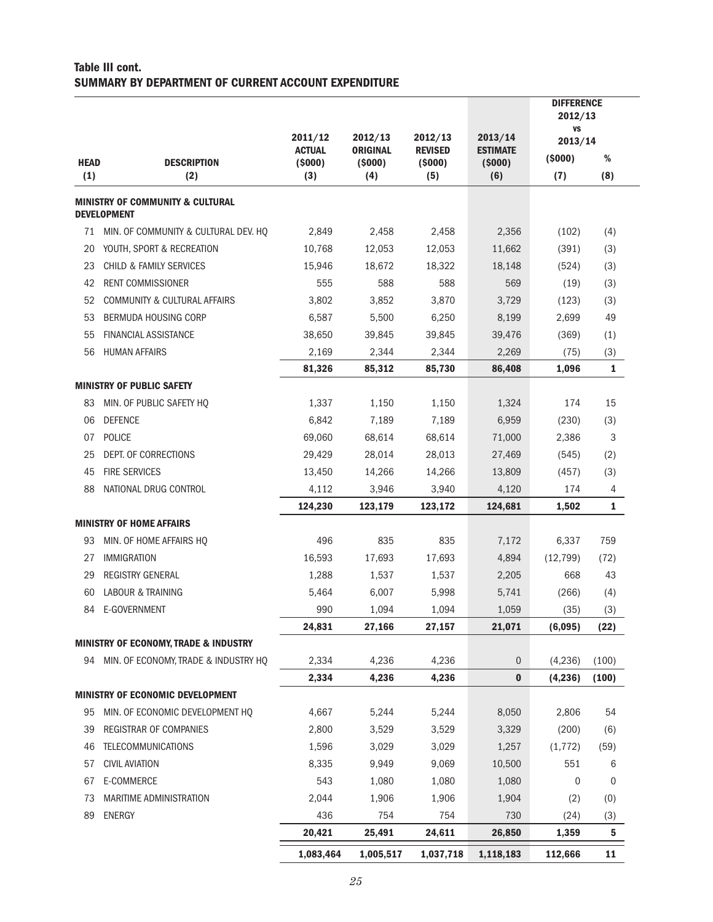#### Table III cont. SUMMARY BY DEPARTMENT OF CURRENT ACCOUNT EXPENDITURE

|             |                                                                   |                                      |                                      |                                     |                                      | <b>DIFFERENCE</b><br>2012/13   |              |
|-------------|-------------------------------------------------------------------|--------------------------------------|--------------------------------------|-------------------------------------|--------------------------------------|--------------------------------|--------------|
| <b>HEAD</b> | <b>DESCRIPTION</b>                                                | 2011/12<br><b>ACTUAL</b><br>( \$000) | 2012/13<br><b>ORIGINAL</b><br>(5000) | 2012/13<br><b>REVISED</b><br>(5000) | 2013/14<br><b>ESTIMATE</b><br>(5000) | <b>VS</b><br>2013/14<br>(5000) | ℅            |
| (1)         | (2)                                                               | (3)                                  | (4)                                  | (5)                                 | (6)                                  | (7)                            | (8)          |
|             | <b>MINISTRY OF COMMUNITY &amp; CULTURAL</b><br><b>DEVELOPMENT</b> |                                      |                                      |                                     |                                      |                                |              |
| 71          | MIN. OF COMMUNITY & CULTURAL DEV. HO                              | 2,849                                | 2,458                                | 2,458                               | 2,356                                | (102)                          | (4)          |
| 20          | YOUTH, SPORT & RECREATION                                         | 10,768                               | 12,053                               | 12,053                              | 11,662                               | (391)                          | (3)          |
| 23          | <b>CHILD &amp; FAMILY SERVICES</b>                                | 15,946                               | 18,672                               | 18,322                              | 18,148                               | (524)                          | (3)          |
| 42          | <b>RENT COMMISSIONER</b>                                          | 555                                  | 588                                  | 588                                 | 569                                  | (19)                           | (3)          |
| 52          | COMMUNITY & CULTURAL AFFAIRS                                      | 3,802                                | 3,852                                | 3,870                               | 3,729                                | (123)                          | (3)          |
| 53          | BERMUDA HOUSING CORP                                              | 6,587                                | 5,500                                | 6,250                               | 8,199                                | 2,699                          | 49           |
| 55          | <b>FINANCIAL ASSISTANCE</b>                                       | 38,650                               | 39,845                               | 39,845                              | 39,476                               | (369)                          | (1)          |
| 56          | <b>HUMAN AFFAIRS</b>                                              | 2,169                                | 2,344                                | 2,344                               | 2,269                                | (75)                           | (3)          |
|             |                                                                   | 81,326                               | 85,312                               | 85,730                              | 86,408                               | 1,096                          | $\mathbf{1}$ |
|             | <b>MINISTRY OF PUBLIC SAFETY</b>                                  |                                      |                                      |                                     |                                      |                                |              |
| 83          | MIN. OF PUBLIC SAFETY HQ                                          | 1,337                                | 1,150                                | 1,150                               | 1,324                                | 174                            | 15           |
| 06          | <b>DEFENCE</b>                                                    | 6,842                                | 7,189                                | 7,189                               | 6,959                                | (230)                          | (3)          |
| 07          | <b>POLICE</b>                                                     | 69,060                               | 68,614                               | 68,614                              | 71,000                               | 2,386                          | 3            |
| 25          | DEPT. OF CORRECTIONS                                              | 29,429                               | 28,014                               | 28,013                              | 27,469                               | (545)                          | (2)          |
| 45          | <b>FIRE SERVICES</b>                                              | 13,450                               | 14,266                               | 14,266                              | 13,809                               | (457)                          | (3)          |
| 88          | NATIONAL DRUG CONTROL                                             | 4,112                                | 3,946                                | 3,940                               | 4,120                                | 174                            | 4            |
|             |                                                                   | 124,230                              | 123,179                              | 123,172                             | 124,681                              | 1,502                          | $\mathbf{1}$ |
|             | <b>MINISTRY OF HOME AFFAIRS</b>                                   |                                      |                                      |                                     |                                      |                                |              |
| 93          | MIN. OF HOME AFFAIRS HQ                                           | 496                                  | 835                                  | 835                                 | 7,172                                | 6,337                          | 759          |
| 27          | <b>IMMIGRATION</b>                                                | 16,593                               | 17,693                               | 17,693                              | 4,894                                | (12, 799)                      | (72)         |
| 29          | <b>REGISTRY GENERAL</b>                                           | 1,288                                | 1,537                                | 1,537                               | 2,205                                | 668                            | 43           |
| 60          | <b>LABOUR &amp; TRAINING</b>                                      | 5,464                                | 6,007                                | 5,998                               | 5,741                                | (266)                          | (4)          |
| 84          | E-GOVERNMENT                                                      | 990                                  | 1,094                                | 1,094                               | 1,059                                | (35)                           | (3)          |
|             |                                                                   | 24,831                               | 27,166                               | 27,157                              | 21,071                               | (6,095)                        | (22)         |
|             | <b>MINISTRY OF ECONOMY, TRADE &amp; INDUSTRY</b>                  |                                      |                                      |                                     |                                      |                                |              |
|             | 94 MIN. OF ECONOMY, TRADE & INDUSTRY HQ                           | 2,334                                | 4,236                                | 4,236                               | $\mathbf 0$                          | (4, 236)                       | (100)        |
|             |                                                                   | 2,334                                | 4,236                                | 4,236                               | $\bf{0}$                             | (4, 236)                       | (100)        |
|             | <b>MINISTRY OF ECONOMIC DEVELOPMENT</b>                           |                                      |                                      |                                     |                                      |                                |              |
| 95          | MIN. OF ECONOMIC DEVELOPMENT HQ                                   | 4,667                                | 5,244                                | 5,244                               | 8,050                                | 2,806                          | 54           |
| 39          | REGISTRAR OF COMPANIES                                            | 2,800                                | 3,529                                | 3,529                               | 3,329                                | (200)                          | (6)          |
| 46          | <b>TELECOMMUNICATIONS</b>                                         | 1,596                                | 3,029                                | 3,029                               | 1,257                                | (1, 772)                       | (59)         |
| 57          | <b>CIVIL AVIATION</b>                                             | 8,335                                | 9,949                                | 9,069                               | 10,500                               | 551                            | 6            |
| 67          | E-COMMERCE                                                        | 543                                  | 1,080                                | 1,080                               | 1,080                                | 0                              | 0            |
| 73          | MARITIME ADMINISTRATION                                           | 2,044                                | 1,906                                | 1,906                               | 1,904                                | (2)                            | (0)          |
| 89          | <b>ENERGY</b>                                                     | 436                                  | 754                                  | 754                                 | 730                                  | (24)                           | (3)          |
|             |                                                                   | 20,421                               | 25,491                               | 24,611                              | 26,850                               | 1,359                          | ${\bf 5}$    |
|             |                                                                   | 1,083,464                            | 1,005,517                            | 1,037,718                           | 1,118,183                            | 112,666                        | 11           |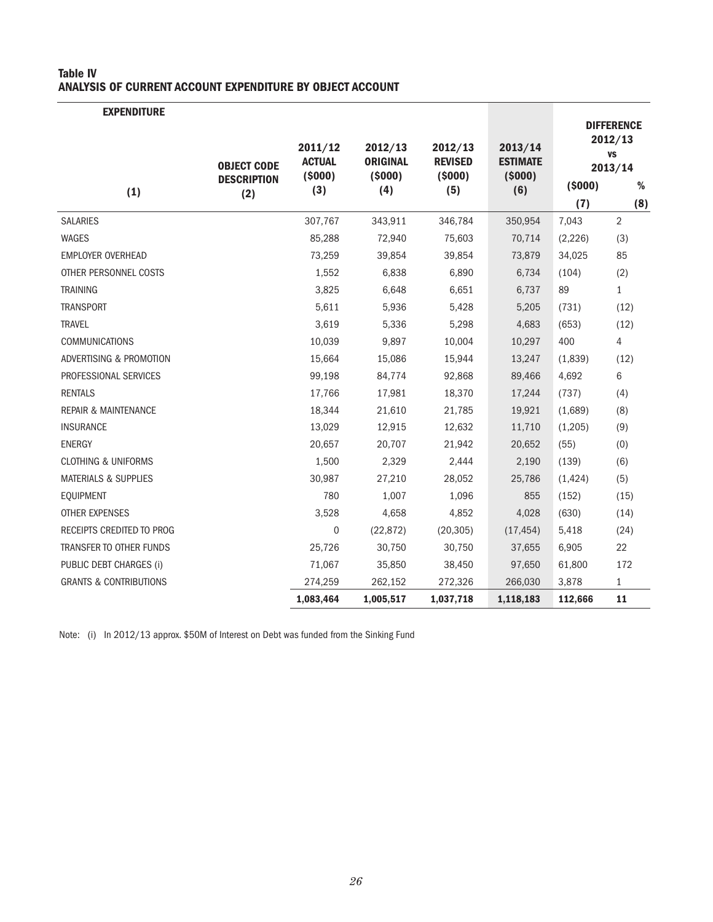#### Table IV ANALYSIS OF CURRENT ACCOUNT EXPENDITURE BY OBJECT ACCOUNT

| <b>EXPENDITURE</b>                |                                                 |                                           |                                             |                                            |                                             |               |                                                                  |
|-----------------------------------|-------------------------------------------------|-------------------------------------------|---------------------------------------------|--------------------------------------------|---------------------------------------------|---------------|------------------------------------------------------------------|
| (1)                               | <b>OBJECT CODE</b><br><b>DESCRIPTION</b><br>(2) | 2011/12<br><b>ACTUAL</b><br>(5000)<br>(3) | 2012/13<br><b>ORIGINAL</b><br>(5000)<br>(4) | 2012/13<br><b>REVISED</b><br>(5000)<br>(5) | 2013/14<br><b>ESTIMATE</b><br>(5000)<br>(6) | (5000)<br>(7) | <b>DIFFERENCE</b><br>2012/13<br><b>VS</b><br>2013/14<br>%<br>(8) |
| <b>SALARIES</b>                   |                                                 | 307,767                                   | 343,911                                     | 346,784                                    | 350,954                                     | 7,043         | $\overline{2}$                                                   |
| <b>WAGES</b>                      |                                                 | 85,288                                    | 72,940                                      | 75,603                                     | 70,714                                      | (2, 226)      | (3)                                                              |
| <b>EMPLOYER OVERHEAD</b>          |                                                 | 73,259                                    | 39,854                                      | 39,854                                     | 73,879                                      | 34,025        | 85                                                               |
| OTHER PERSONNEL COSTS             |                                                 | 1,552                                     | 6,838                                       | 6,890                                      | 6,734                                       | (104)         | (2)                                                              |
| <b>TRAINING</b>                   |                                                 | 3,825                                     | 6,648                                       | 6,651                                      | 6,737                                       | 89            | $\mathbf{1}$                                                     |
| <b>TRANSPORT</b>                  |                                                 | 5,611                                     | 5,936                                       | 5,428                                      | 5,205                                       | (731)         | (12)                                                             |
| <b>TRAVEL</b>                     |                                                 | 3,619                                     | 5,336                                       | 5,298                                      | 4,683                                       | (653)         | (12)                                                             |
| <b>COMMUNICATIONS</b>             |                                                 | 10,039                                    | 9,897                                       | 10,004                                     | 10,297                                      | 400           | 4                                                                |
| ADVERTISING & PROMOTION           |                                                 | 15,664                                    | 15,086                                      | 15,944                                     | 13,247                                      | (1,839)       | (12)                                                             |
| PROFESSIONAL SERVICES             |                                                 | 99,198                                    | 84,774                                      | 92,868                                     | 89,466                                      | 4,692         | 6                                                                |
| <b>RENTALS</b>                    |                                                 | 17,766                                    | 17,981                                      | 18,370                                     | 17,244                                      | (737)         | (4)                                                              |
| <b>REPAIR &amp; MAINTENANCE</b>   |                                                 | 18,344                                    | 21,610                                      | 21,785                                     | 19,921                                      | (1,689)       | (8)                                                              |
| <b>INSURANCE</b>                  |                                                 | 13,029                                    | 12,915                                      | 12,632                                     | 11,710                                      | (1,205)       | (9)                                                              |
| ENERGY                            |                                                 | 20,657                                    | 20,707                                      | 21,942                                     | 20,652                                      | (55)          | (0)                                                              |
| <b>CLOTHING &amp; UNIFORMS</b>    |                                                 | 1,500                                     | 2,329                                       | 2,444                                      | 2,190                                       | (139)         | (6)                                                              |
| <b>MATERIALS &amp; SUPPLIES</b>   |                                                 | 30,987                                    | 27,210                                      | 28,052                                     | 25,786                                      | (1, 424)      | (5)                                                              |
| EQUIPMENT                         |                                                 | 780                                       | 1,007                                       | 1,096                                      | 855                                         | (152)         | (15)                                                             |
| OTHER EXPENSES                    |                                                 | 3,528                                     | 4,658                                       | 4,852                                      | 4,028                                       | (630)         | (14)                                                             |
| RECEIPTS CREDITED TO PROG         |                                                 | $\mathbf 0$                               | (22, 872)                                   | (20, 305)                                  | (17, 454)                                   | 5,418         | (24)                                                             |
| TRANSFER TO OTHER FUNDS           |                                                 | 25,726                                    | 30,750                                      | 30,750                                     | 37,655                                      | 6,905         | 22                                                               |
| PUBLIC DEBT CHARGES (i)           |                                                 | 71,067                                    | 35,850                                      | 38,450                                     | 97,650                                      | 61,800        | 172                                                              |
| <b>GRANTS &amp; CONTRIBUTIONS</b> |                                                 | 274,259                                   | 262,152                                     | 272,326                                    | 266,030                                     | 3,878         | $\mathbf{1}$                                                     |
|                                   |                                                 | 1,083,464                                 | 1,005,517                                   | 1,037,718                                  | 1,118,183                                   | 112,666       | 11                                                               |

Note: (i) In 2012/13 approx. \$50M of Interest on Debt was funded from the Sinking Fund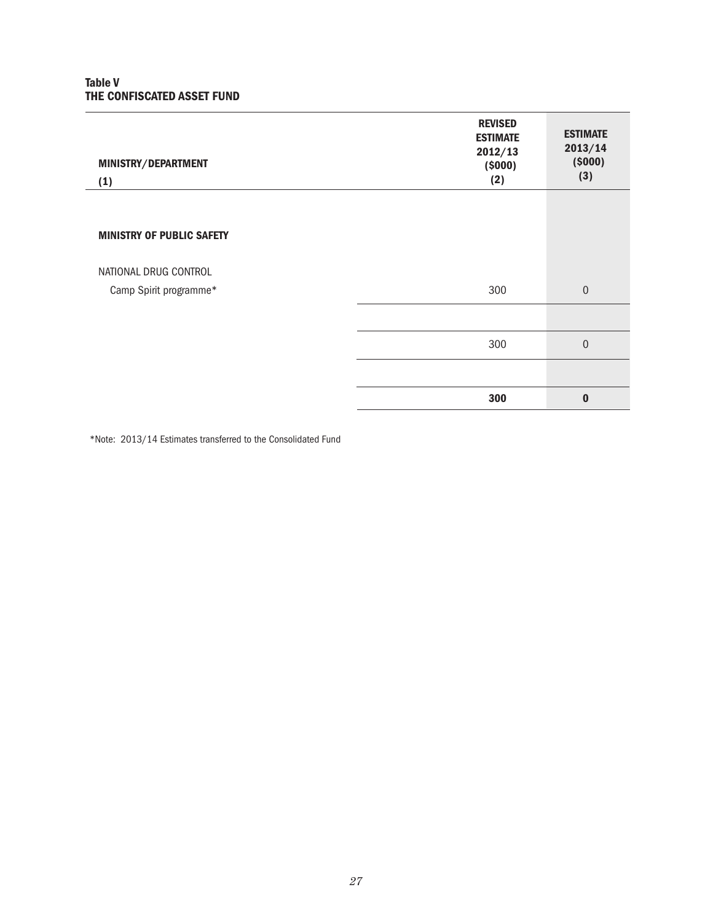#### Table V THE CONFISCATED ASSET FUND

| MINISTRY/DEPARTMENT<br>(1)       | <b>REVISED</b><br><b>ESTIMATE</b><br>2012/13<br>(5000)<br>(2) | <b>ESTIMATE</b><br>2013/14<br>(5000)<br>(3) |
|----------------------------------|---------------------------------------------------------------|---------------------------------------------|
|                                  |                                                               |                                             |
| <b>MINISTRY OF PUBLIC SAFETY</b> |                                                               |                                             |
| NATIONAL DRUG CONTROL            |                                                               |                                             |
| Camp Spirit programme*           | 300                                                           | $\mathbf{0}$                                |
|                                  |                                                               |                                             |
|                                  | 300                                                           | $\mathbf 0$                                 |
|                                  |                                                               |                                             |
|                                  | 300                                                           | $\bf{0}$                                    |

\*Note: 2013/14 Estimates transferred to the Consolidated Fund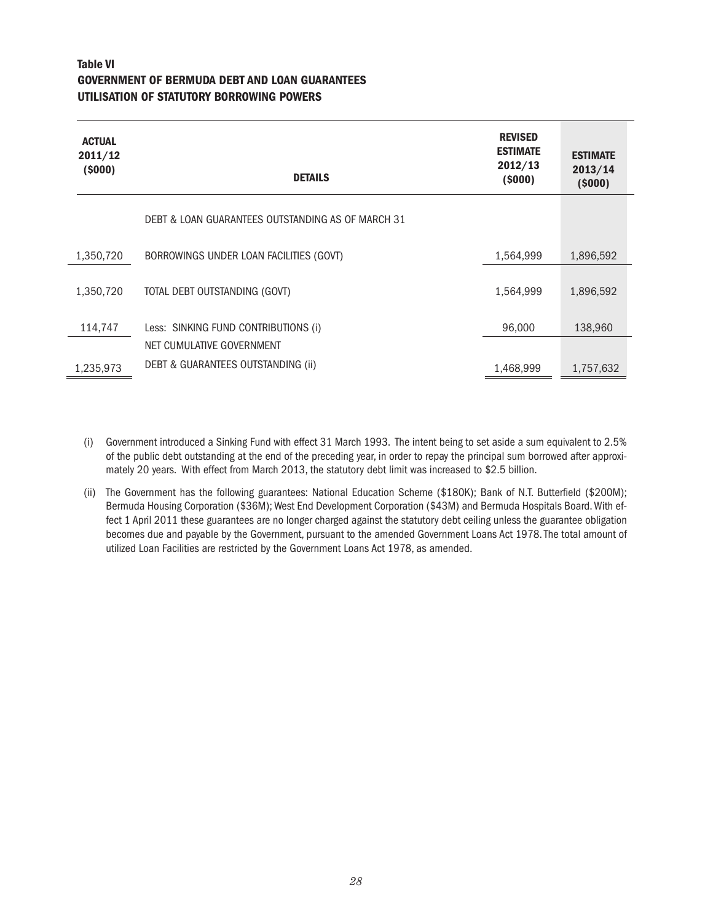#### Table VI GOVERNMENT OF BERMUDA DEBT AND LOAN GUARANTEES UTILISATION OF STATUTORY BORROWING POWERS

 $\overline{a}$ 

| <b>ACTUAL</b><br>2011/12<br>(5000) | <b>DETAILS</b>                                    | <b>REVISED</b><br><b>ESTIMATE</b><br>2012/13<br>(5000) | <b>ESTIMATE</b><br>2013/14<br>(5000) |
|------------------------------------|---------------------------------------------------|--------------------------------------------------------|--------------------------------------|
|                                    | DEBT & LOAN GUARANTEES OUTSTANDING AS OF MARCH 31 |                                                        |                                      |
| 1,350,720                          | BORROWINGS UNDER LOAN FACILITIES (GOVT)           | 1,564,999                                              | 1,896,592                            |
| 1,350,720                          | TOTAL DEBT OUTSTANDING (GOVT)                     | 1,564,999                                              | 1,896,592                            |
| 114,747                            | Less: SINKING FUND CONTRIBUTIONS (i)              | 96,000                                                 | 138,960                              |
|                                    | NET CUMULATIVE GOVERNMENT                         |                                                        |                                      |
| 1,235,973                          | DEBT & GUARANTEES OUTSTANDING (ii)                | 1,468,999                                              | 1,757,632                            |

- (i) Government introduced a Sinking Fund with effect 31 March 1993. The intent being to set aside a sum equivalent to 2.5% of the public debt outstanding at the end of the preceding year, in order to repay the principal sum borrowed after approximately 20 years. With effect from March 2013, the statutory debt limit was increased to \$2.5 billion.
- (ii) The Government has the following guarantees: National Education Scheme (\$180K); Bank of N.T. Butterfield (\$200M); Bermuda Housing Corporation (\$36M); West End Development Corporation (\$43M) and Bermuda Hospitals Board. With effect 1 April 2011 these guarantees are no longer charged against the statutory debt ceiling unless the guarantee obligation becomes due and payable by the Government, pursuant to the amended Government Loans Act 1978. The total amount of utilized Loan Facilities are restricted by the Government Loans Act 1978, as amended.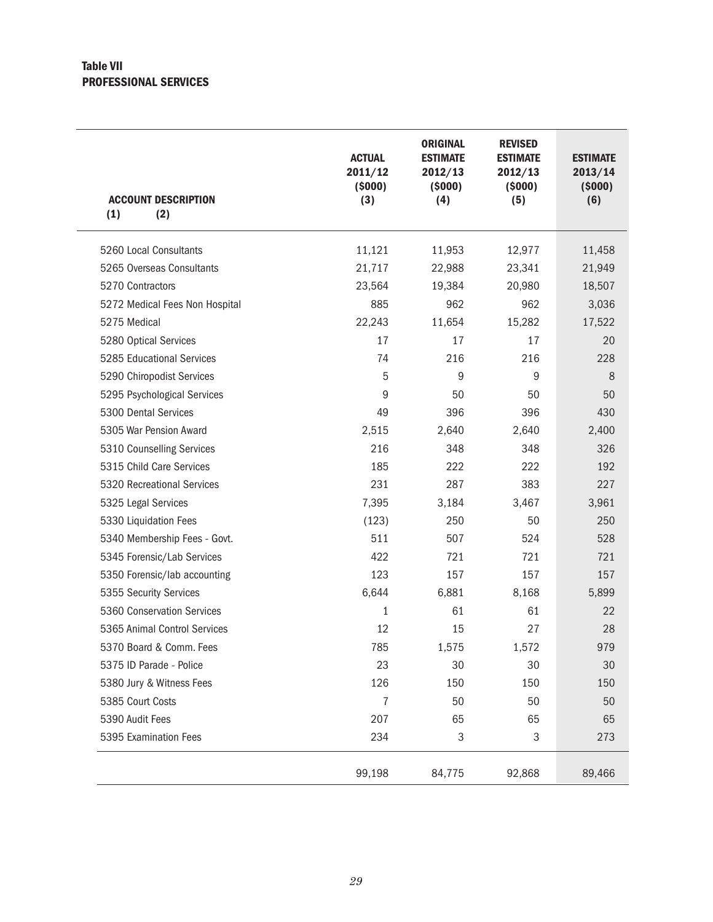#### Table VII PROFESSIONAL SERVICES

| <b>ACCOUNT DESCRIPTION</b><br>(1)<br>(2) | <b>ACTUAL</b><br>2011/12<br>(5000)<br>(3) | <b>ORIGINAL</b><br><b>ESTIMATE</b><br>2012/13<br>(5000)<br>(4) | <b>REVISED</b><br><b>ESTIMATE</b><br>2012/13<br>(5000)<br>(5) | <b>ESTIMATE</b><br>2013/14<br>(5000)<br>(6) |
|------------------------------------------|-------------------------------------------|----------------------------------------------------------------|---------------------------------------------------------------|---------------------------------------------|
| 5260 Local Consultants                   | 11,121                                    | 11,953                                                         | 12,977                                                        | 11,458                                      |
| 5265 Overseas Consultants                | 21,717                                    | 22,988                                                         | 23,341                                                        | 21,949                                      |
| 5270 Contractors                         | 23,564                                    | 19,384                                                         | 20,980                                                        | 18,507                                      |
| 5272 Medical Fees Non Hospital           | 885                                       | 962                                                            | 962                                                           | 3,036                                       |
| 5275 Medical                             | 22,243                                    | 11,654                                                         | 15,282                                                        | 17,522                                      |
| 5280 Optical Services                    | 17                                        | 17                                                             | 17                                                            | 20                                          |
| 5285 Educational Services                | 74                                        | 216                                                            | 216                                                           | 228                                         |
| 5290 Chiropodist Services                | 5                                         | 9                                                              | 9                                                             | 8                                           |
| 5295 Psychological Services              | 9                                         | 50                                                             | 50                                                            | 50                                          |
| 5300 Dental Services                     | 49                                        | 396                                                            | 396                                                           | 430                                         |
| 5305 War Pension Award                   | 2,515                                     | 2,640                                                          | 2,640                                                         | 2,400                                       |
| 5310 Counselling Services                | 216                                       | 348                                                            | 348                                                           | 326                                         |
| 5315 Child Care Services                 | 185                                       | 222                                                            | 222                                                           | 192                                         |
| 5320 Recreational Services               | 231                                       | 287                                                            | 383                                                           | 227                                         |
| 5325 Legal Services                      | 7,395                                     | 3,184                                                          | 3,467                                                         | 3,961                                       |
| 5330 Liquidation Fees                    | (123)                                     | 250                                                            | 50                                                            | 250                                         |
| 5340 Membership Fees - Govt.             | 511                                       | 507                                                            | 524                                                           | 528                                         |
| 5345 Forensic/Lab Services               | 422                                       | 721                                                            | 721                                                           | 721                                         |
| 5350 Forensic/lab accounting             | 123                                       | 157                                                            | 157                                                           | 157                                         |
| 5355 Security Services                   | 6,644                                     | 6,881                                                          | 8,168                                                         | 5,899                                       |
| 5360 Conservation Services               | 1                                         | 61                                                             | 61                                                            | 22                                          |
| 5365 Animal Control Services             | 12                                        | 15                                                             | 27                                                            | 28                                          |
| 5370 Board & Comm. Fees                  | 785                                       | 1,575                                                          | 1,572                                                         | 979                                         |
| 5375 ID Parade - Police                  | 23                                        | 30                                                             | 30                                                            | 30                                          |
| 5380 Jury & Witness Fees                 | 126                                       | 150                                                            | 150                                                           | 150                                         |
| 5385 Court Costs                         | $\overline{7}$                            | 50                                                             | 50                                                            | 50                                          |
| 5390 Audit Fees                          | 207                                       | 65                                                             | 65                                                            | 65                                          |
| 5395 Examination Fees                    | 234                                       | $\ensuremath{\mathsf{3}}$                                      | 3                                                             | 273                                         |
|                                          | 99,198                                    | 84,775                                                         | 92,868                                                        | 89,466                                      |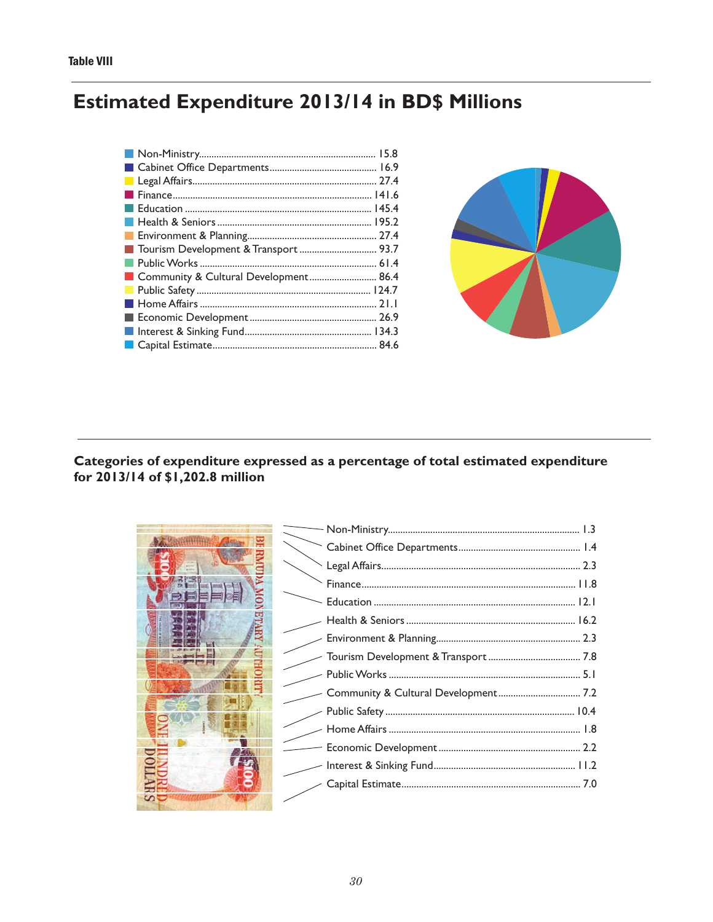# **Estimated Expenditure 2013/14 in BD\$ Millions**

| Tourism Development & Transport  93.7 |  |
|---------------------------------------|--|
|                                       |  |
| Community & Cultural Development 86.4 |  |
|                                       |  |
|                                       |  |
|                                       |  |
|                                       |  |
|                                       |  |



#### Categories of expenditure expressed as a percentage of total estimated expenditure for 2013/14 of \$1,202.8 million

| Ş |
|---|
|   |
|   |
|   |
|   |

|                          | Cabinet Office Department Community 2.3 |  |
|--------------------------|-----------------------------------------|--|
|                          |                                         |  |
|                          |                                         |  |
|                          |                                         |  |
|                          |                                         |  |
|                          |                                         |  |
|                          |                                         |  |
|                          |                                         |  |
|                          |                                         |  |
|                          |                                         |  |
|                          |                                         |  |
|                          |                                         |  |
| $\overline{\phantom{a}}$ |                                         |  |
|                          |                                         |  |
|                          |                                         |  |